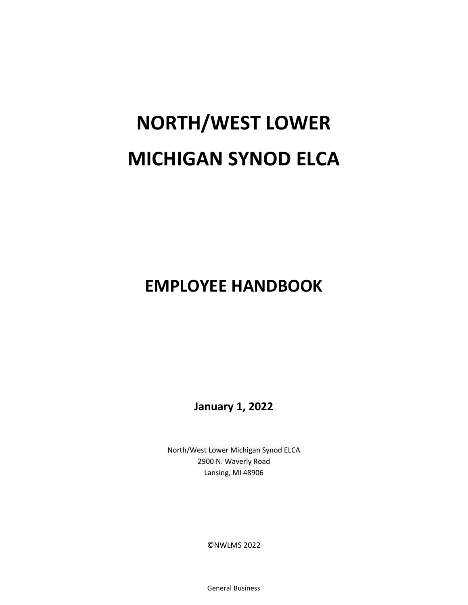# **NORTH/WEST LOWER MICHIGAN SYNOD ELCA**

# **EMPLOYEE HANDBOOK**

**January 1, 2022**

North/West Lower Michigan Synod ELCA 2900 N. Waverly Road Lansing, MI 48906

©NWLMS 2022

General Business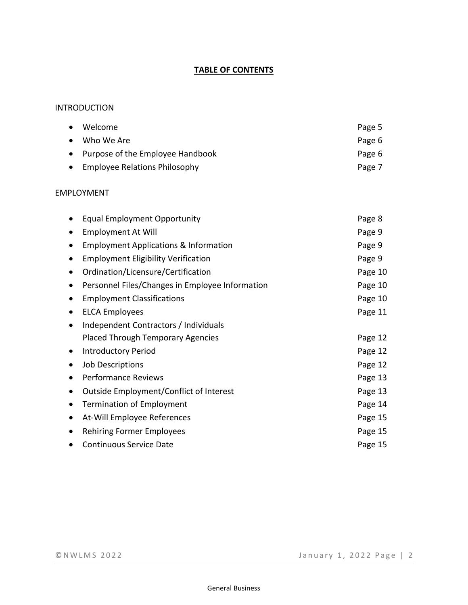# **TABLE OF CONTENTS**

#### INTRODUCTION

| • Welcome                          | Page 5 |
|------------------------------------|--------|
| $\bullet$ Who We Are               | Page 6 |
| • Purpose of the Employee Handbook | Page 6 |
| • Employee Relations Philosophy    | Page 7 |

#### EMPLOYMENT

|           | <b>Equal Employment Opportunity</b>              | Page 8  |
|-----------|--------------------------------------------------|---------|
| $\bullet$ | <b>Employment At Will</b>                        | Page 9  |
|           | <b>Employment Applications &amp; Information</b> | Page 9  |
| $\bullet$ | <b>Employment Eligibility Verification</b>       | Page 9  |
| $\bullet$ | Ordination/Licensure/Certification               | Page 10 |
| $\bullet$ | Personnel Files/Changes in Employee Information  | Page 10 |
| $\bullet$ | <b>Employment Classifications</b>                | Page 10 |
| $\bullet$ | <b>ELCA Employees</b>                            | Page 11 |
|           | Independent Contractors / Individuals            |         |
|           | <b>Placed Through Temporary Agencies</b>         | Page 12 |
| $\bullet$ | <b>Introductory Period</b>                       | Page 12 |
| $\bullet$ | <b>Job Descriptions</b>                          | Page 12 |
| $\bullet$ | <b>Performance Reviews</b>                       | Page 13 |
|           | Outside Employment/Conflict of Interest          | Page 13 |
| $\bullet$ | Termination of Employment                        | Page 14 |
| $\bullet$ | At-Will Employee References                      | Page 15 |
|           | <b>Rehiring Former Employees</b>                 | Page 15 |
|           | <b>Continuous Service Date</b>                   | Page 15 |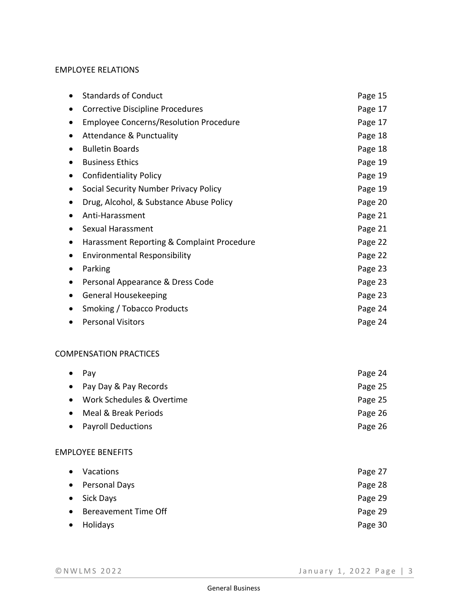#### EMPLOYEE RELATIONS

|           | <b>Standards of Conduct</b>                   | Page 15 |
|-----------|-----------------------------------------------|---------|
|           | Corrective Discipline Procedures              | Page 17 |
| ٠         | <b>Employee Concerns/Resolution Procedure</b> | Page 17 |
| $\bullet$ | <b>Attendance &amp; Punctuality</b>           | Page 18 |
| ٠         | <b>Bulletin Boards</b>                        | Page 18 |
| $\bullet$ | <b>Business Ethics</b>                        | Page 19 |
| ٠         | <b>Confidentiality Policy</b>                 | Page 19 |
| $\bullet$ | Social Security Number Privacy Policy         | Page 19 |
|           | Drug, Alcohol, & Substance Abuse Policy       | Page 20 |
| $\bullet$ | Anti-Harassment                               | Page 21 |
| ٠         | <b>Sexual Harassment</b>                      | Page 21 |
| ٠         | Harassment Reporting & Complaint Procedure    | Page 22 |
| $\bullet$ | <b>Environmental Responsibility</b>           | Page 22 |
|           | Parking                                       | Page 23 |
| ٠         | Personal Appearance & Dress Code              | Page 23 |
| ٠         | <b>General Housekeeping</b>                   | Page 23 |
| $\bullet$ | <b>Smoking / Tobacco Products</b>             | Page 24 |
|           | <b>Personal Visitors</b>                      | Page 24 |
|           |                                               |         |

# COMPENSATION PRACTICES

| $\bullet$ | Pav                       | Page 24 |
|-----------|---------------------------|---------|
|           | • Pay Day & Pay Records   | Page 25 |
| $\bullet$ | Work Schedules & Overtime | Page 25 |
| $\bullet$ | Meal & Break Periods      | Page 26 |
|           | • Payroll Deductions      | Page 26 |
|           |                           |         |

# EMPLOYEE BENEFITS

| $\bullet$ | Vacations              | Page 27 |
|-----------|------------------------|---------|
|           | • Personal Days        | Page 28 |
|           | • Sick Days            | Page 29 |
|           | • Bereavement Time Off | Page 29 |
| $\bullet$ | Holidays               | Page 30 |
|           |                        |         |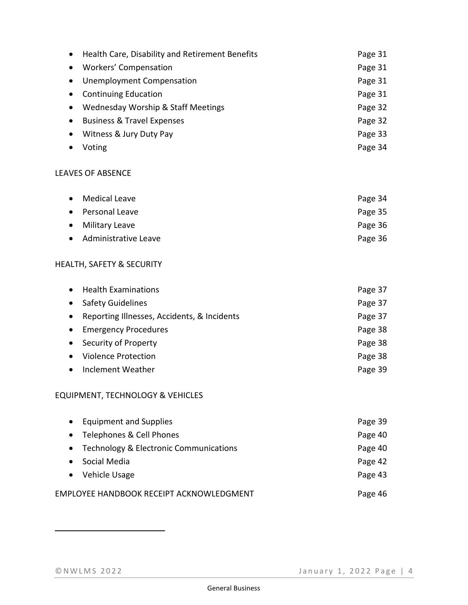| Health Care, Disability and Retirement Benefits | Page 31 |
|-------------------------------------------------|---------|
| Workers' Compensation                           | Page 31 |
| Unemployment Compensation                       | Page 31 |
| <b>Continuing Education</b>                     | Page 31 |
| Wednesday Worship & Staff Meetings              | Page 32 |
| <b>Business &amp; Travel Expenses</b>           | Page 32 |
| Witness & Jury Duty Pay                         | Page 33 |
| Voting                                          | Page 34 |

# LEAVES OF ABSENCE

| • Medical Leave        | Page 34 |
|------------------------|---------|
| • Personal Leave       | Page 35 |
| • Military Leave       | Page 36 |
| • Administrative Leave | Page 36 |

# HEALTH, SAFETY & SECURITY

| $\bullet$ | <b>Health Examinations</b>                  | Page 37 |
|-----------|---------------------------------------------|---------|
| $\bullet$ | <b>Safety Guidelines</b>                    | Page 37 |
| $\bullet$ | Reporting Illnesses, Accidents, & Incidents | Page 37 |
| $\bullet$ | <b>Emergency Procedures</b>                 | Page 38 |
| $\bullet$ | Security of Property                        | Page 38 |
|           | <b>Violence Protection</b>                  | Page 38 |
|           | Inclement Weather                           | Page 39 |

# EQUIPMENT, TECHNOLOGY & VEHICLES

| <b>Equipment and Supplies</b><br>$\bullet$          | Page 39 |
|-----------------------------------------------------|---------|
| Telephones & Cell Phones<br>$\bullet$               | Page 40 |
| Technology & Electronic Communications<br>$\bullet$ | Page 40 |
| Social Media<br>$\bullet$                           | Page 42 |
| • Vehicle Usage                                     | Page 43 |
| EMPLOYEE HANDBOOK RECEIPT ACKNOWLEDGMENT            | Page 46 |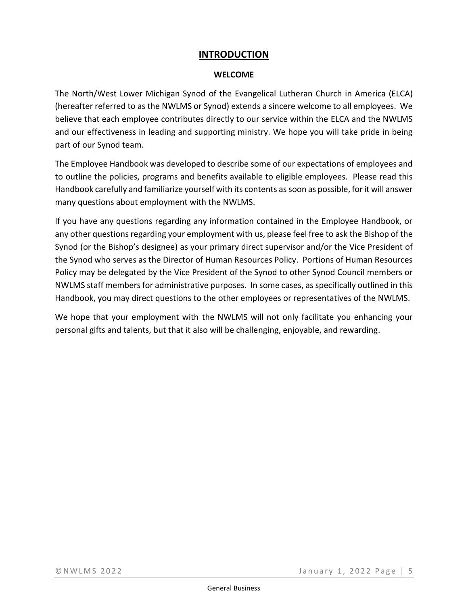# **INTRODUCTION**

#### **WELCOME**

The North/West Lower Michigan Synod of the Evangelical Lutheran Church in America (ELCA) (hereafter referred to as the NWLMS or Synod) extends a sincere welcome to all employees. We believe that each employee contributes directly to our service within the ELCA and the NWLMS and our effectiveness in leading and supporting ministry. We hope you will take pride in being part of our Synod team.

The Employee Handbook was developed to describe some of our expectations of employees and to outline the policies, programs and benefits available to eligible employees. Please read this Handbook carefully and familiarize yourself with its contents assoon as possible, for it will answer many questions about employment with the NWLMS.

If you have any questions regarding any information contained in the Employee Handbook, or any other questions regarding your employment with us, please feel free to ask the Bishop of the Synod (or the Bishop's designee) as your primary direct supervisor and/or the Vice President of the Synod who serves as the Director of Human Resources Policy. Portions of Human Resources Policy may be delegated by the Vice President of the Synod to other Synod Council members or NWLMS staff members for administrative purposes. In some cases, as specifically outlined in this Handbook, you may direct questions to the other employees or representatives of the NWLMS.

We hope that your employment with the NWLMS will not only facilitate you enhancing your personal gifts and talents, but that it also will be challenging, enjoyable, and rewarding.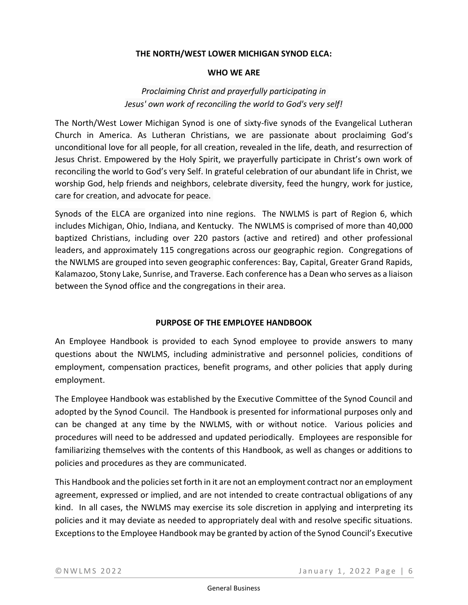#### **THE NORTH/WEST LOWER MICHIGAN SYNOD ELCA:**

#### **WHO WE ARE**

# *Proclaiming Christ and prayerfully participating in Jesus' own work of reconciling the world to God's very self!*

The North/West Lower Michigan Synod is one of sixty-five synods of the Evangelical Lutheran Church in America. As Lutheran Christians, we are passionate about proclaiming God's unconditional love for all people, for all creation, revealed in the life, death, and resurrection of Jesus Christ. Empowered by the Holy Spirit, we prayerfully participate in Christ's own work of reconciling the world to God's very Self. In grateful celebration of our abundant life in Christ, we worship God, help friends and neighbors, celebrate diversity, feed the hungry, work for justice, care for creation, and advocate for peace.

Synods of the ELCA are organized into nine regions. The NWLMS is part of Region 6, which includes Michigan, Ohio, Indiana, and Kentucky. The NWLMS is comprised of more than 40,000 baptized Christians, including over 220 pastors (active and retired) and other professional leaders, and approximately 115 congregations across our geographic region. Congregations of the NWLMS are grouped into seven geographic conferences: Bay, Capital, Greater Grand Rapids, Kalamazoo, Stony Lake, Sunrise, and Traverse. Each conference has a Dean who serves as a liaison between the Synod office and the congregations in their area.

#### **PURPOSE OF THE EMPLOYEE HANDBOOK**

An Employee Handbook is provided to each Synod employee to provide answers to many questions about the NWLMS, including administrative and personnel policies, conditions of employment, compensation practices, benefit programs, and other policies that apply during employment.

The Employee Handbook was established by the Executive Committee of the Synod Council and adopted by the Synod Council. The Handbook is presented for informational purposes only and can be changed at any time by the NWLMS, with or without notice. Various policies and procedures will need to be addressed and updated periodically. Employees are responsible for familiarizing themselves with the contents of this Handbook, as well as changes or additions to policies and procedures as they are communicated.

This Handbook and the policies set forth in it are not an employment contract nor an employment agreement, expressed or implied, and are not intended to create contractual obligations of any kind. In all cases, the NWLMS may exercise its sole discretion in applying and interpreting its policies and it may deviate as needed to appropriately deal with and resolve specific situations. Exceptions to the Employee Handbook may be granted by action of the Synod Council's Executive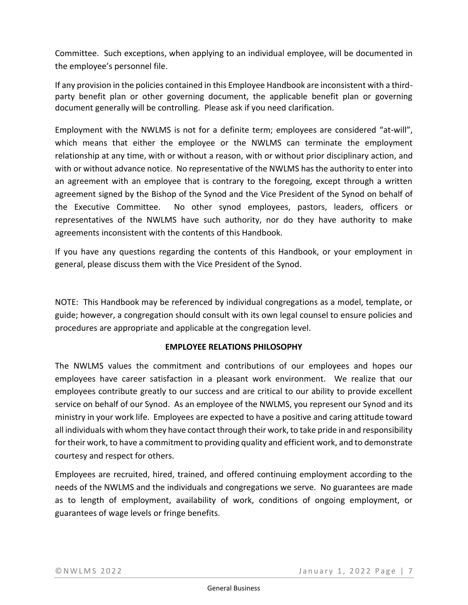Committee. Such exceptions, when applying to an individual employee, will be documented in the employee's personnel file.

If any provision in the policies contained in this Employee Handbook are inconsistent with a thirdparty benefit plan or other governing document, the applicable benefit plan or governing document generally will be controlling. Please ask if you need clarification.

Employment with the NWLMS is not for a definite term; employees are considered "at-will", which means that either the employee or the NWLMS can terminate the employment relationship at any time, with or without a reason, with or without prior disciplinary action, and with or without advance notice. No representative of the NWLMS has the authority to enter into an agreement with an employee that is contrary to the foregoing, except through a written agreement signed by the Bishop of the Synod and the Vice President of the Synod on behalf of the Executive Committee. No other synod employees, pastors, leaders, officers or representatives of the NWLMS have such authority, nor do they have authority to make agreements inconsistent with the contents of this Handbook.

If you have any questions regarding the contents of this Handbook, or your employment in general, please discuss them with the Vice President of the Synod.

NOTE: This Handbook may be referenced by individual congregations as a model, template, or guide; however, a congregation should consult with its own legal counsel to ensure policies and procedures are appropriate and applicable at the congregation level.

### **EMPLOYEE RELATIONS PHILOSOPHY**

The NWLMS values the commitment and contributions of our employees and hopes our employees have career satisfaction in a pleasant work environment. We realize that our employees contribute greatly to our success and are critical to our ability to provide excellent service on behalf of our Synod. As an employee of the NWLMS, you represent our Synod and its ministry in your work life. Employees are expected to have a positive and caring attitude toward all individuals with whom they have contact through their work, to take pride in and responsibility for their work, to have a commitment to providing quality and efficient work, and to demonstrate courtesy and respect for others.

Employees are recruited, hired, trained, and offered continuing employment according to the needs of the NWLMS and the individuals and congregations we serve. No guarantees are made as to length of employment, availability of work, conditions of ongoing employment, or guarantees of wage levels or fringe benefits.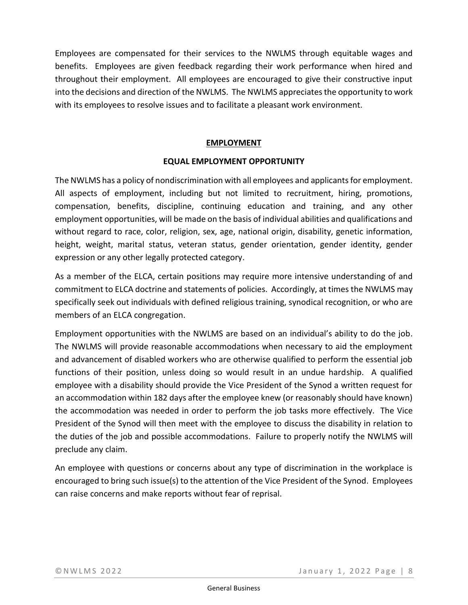Employees are compensated for their services to the NWLMS through equitable wages and benefits. Employees are given feedback regarding their work performance when hired and throughout their employment. All employees are encouraged to give their constructive input into the decisions and direction of the NWLMS. The NWLMS appreciates the opportunity to work with its employees to resolve issues and to facilitate a pleasant work environment.

# **EMPLOYMENT**

### **EQUAL EMPLOYMENT OPPORTUNITY**

The NWLMS has a policy of nondiscrimination with all employees and applicants for employment. All aspects of employment, including but not limited to recruitment, hiring, promotions, compensation, benefits, discipline, continuing education and training, and any other employment opportunities, will be made on the basis of individual abilities and qualifications and without regard to race, color, religion, sex, age, national origin, disability, genetic information, height, weight, marital status, veteran status, gender orientation, gender identity, gender expression or any other legally protected category.

As a member of the ELCA, certain positions may require more intensive understanding of and commitment to ELCA doctrine and statements of policies. Accordingly, at times the NWLMS may specifically seek out individuals with defined religious training, synodical recognition, or who are members of an ELCA congregation.

Employment opportunities with the NWLMS are based on an individual's ability to do the job. The NWLMS will provide reasonable accommodations when necessary to aid the employment and advancement of disabled workers who are otherwise qualified to perform the essential job functions of their position, unless doing so would result in an undue hardship. A qualified employee with a disability should provide the Vice President of the Synod a written request for an accommodation within 182 days after the employee knew (or reasonably should have known) the accommodation was needed in order to perform the job tasks more effectively. The Vice President of the Synod will then meet with the employee to discuss the disability in relation to the duties of the job and possible accommodations. Failure to properly notify the NWLMS will preclude any claim.

An employee with questions or concerns about any type of discrimination in the workplace is encouraged to bring such issue(s) to the attention of the Vice President of the Synod. Employees can raise concerns and make reports without fear of reprisal.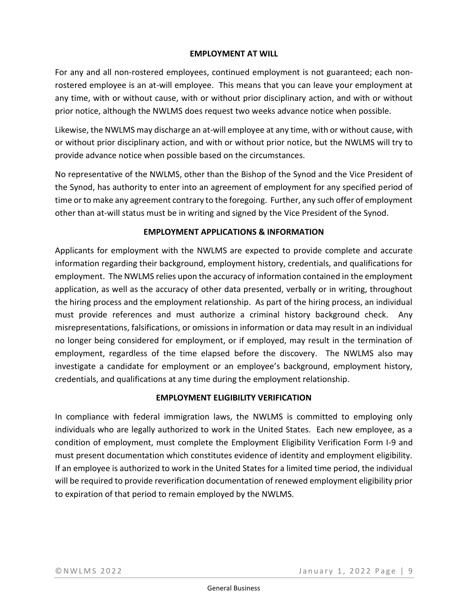#### **EMPLOYMENT AT WILL**

For any and all non-rostered employees, continued employment is not guaranteed; each nonrostered employee is an at-will employee. This means that you can leave your employment at any time, with or without cause, with or without prior disciplinary action, and with or without prior notice, although the NWLMS does request two weeks advance notice when possible.

Likewise, the NWLMS may discharge an at-will employee at any time, with or without cause, with or without prior disciplinary action, and with or without prior notice, but the NWLMS will try to provide advance notice when possible based on the circumstances.

No representative of the NWLMS, other than the Bishop of the Synod and the Vice President of the Synod, has authority to enter into an agreement of employment for any specified period of time or to make any agreement contrary to the foregoing. Further, any such offer of employment other than at-will status must be in writing and signed by the Vice President of the Synod.

### **EMPLOYMENT APPLICATIONS & INFORMATION**

Applicants for employment with the NWLMS are expected to provide complete and accurate information regarding their background, employment history, credentials, and qualifications for employment. The NWLMS relies upon the accuracy of information contained in the employment application, as well as the accuracy of other data presented, verbally or in writing, throughout the hiring process and the employment relationship. As part of the hiring process, an individual must provide references and must authorize a criminal history background check. Any misrepresentations, falsifications, or omissions in information or data may result in an individual no longer being considered for employment, or if employed, may result in the termination of employment, regardless of the time elapsed before the discovery. The NWLMS also may investigate a candidate for employment or an employee's background, employment history, credentials, and qualifications at any time during the employment relationship.

### **EMPLOYMENT ELIGIBILITY VERIFICATION**

In compliance with federal immigration laws, the NWLMS is committed to employing only individuals who are legally authorized to work in the United States. Each new employee, as a condition of employment, must complete the Employment Eligibility Verification Form I-9 and must present documentation which constitutes evidence of identity and employment eligibility. If an employee is authorized to work in the United States for a limited time period, the individual will be required to provide reverification documentation of renewed employment eligibility prior to expiration of that period to remain employed by the NWLMS.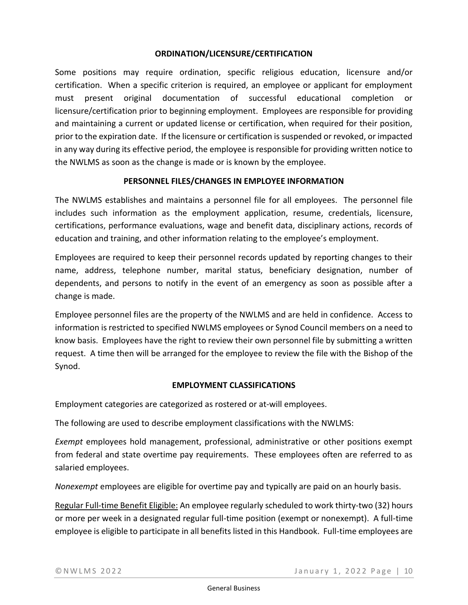# **ORDINATION/LICENSURE/CERTIFICATION**

Some positions may require ordination, specific religious education, licensure and/or certification. When a specific criterion is required, an employee or applicant for employment must present original documentation of successful educational completion or licensure/certification prior to beginning employment. Employees are responsible for providing and maintaining a current or updated license or certification, when required for their position, prior to the expiration date. If the licensure or certification is suspended or revoked, or impacted in any way during its effective period, the employee is responsible for providing written notice to the NWLMS as soon as the change is made or is known by the employee.

### **PERSONNEL FILES/CHANGES IN EMPLOYEE INFORMATION**

The NWLMS establishes and maintains a personnel file for all employees. The personnel file includes such information as the employment application, resume, credentials, licensure, certifications, performance evaluations, wage and benefit data, disciplinary actions, records of education and training, and other information relating to the employee's employment.

Employees are required to keep their personnel records updated by reporting changes to their name, address, telephone number, marital status, beneficiary designation, number of dependents, and persons to notify in the event of an emergency as soon as possible after a change is made.

Employee personnel files are the property of the NWLMS and are held in confidence. Access to information is restricted to specified NWLMS employees or Synod Council members on a need to know basis. Employees have the right to review their own personnel file by submitting a written request. A time then will be arranged for the employee to review the file with the Bishop of the Synod.

### **EMPLOYMENT CLASSIFICATIONS**

Employment categories are categorized as rostered or at-will employees.

The following are used to describe employment classifications with the NWLMS:

*Exempt* employees hold management, professional, administrative or other positions exempt from federal and state overtime pay requirements. These employees often are referred to as salaried employees.

*Nonexempt* employees are eligible for overtime pay and typically are paid on an hourly basis.

Regular Full-time Benefit Eligible: An employee regularly scheduled to work thirty-two (32) hours or more per week in a designated regular full-time position (exempt or nonexempt). A full-time employee is eligible to participate in all benefits listed in this Handbook. Full-time employees are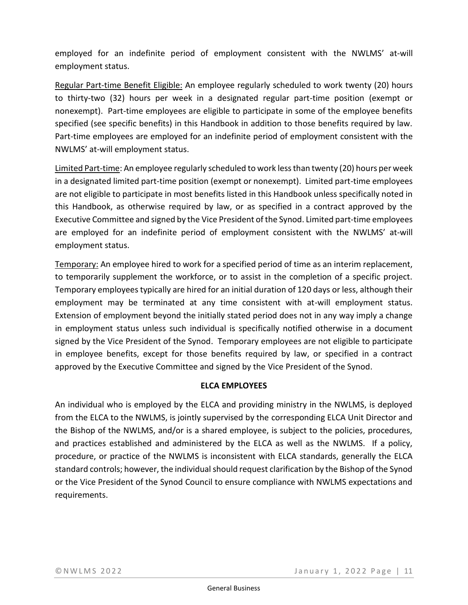employed for an indefinite period of employment consistent with the NWLMS' at-will employment status.

Regular Part-time Benefit Eligible: An employee regularly scheduled to work twenty (20) hours to thirty-two (32) hours per week in a designated regular part-time position (exempt or nonexempt). Part-time employees are eligible to participate in some of the employee benefits specified (see specific benefits) in this Handbook in addition to those benefits required by law. Part-time employees are employed for an indefinite period of employment consistent with the NWLMS' at-will employment status.

Limited Part-time: An employee regularly scheduled to work less than twenty (20) hours per week in a designated limited part-time position (exempt or nonexempt). Limited part-time employees are not eligible to participate in most benefits listed in this Handbook unless specifically noted in this Handbook, as otherwise required by law, or as specified in a contract approved by the Executive Committee and signed by the Vice President of the Synod. Limited part-time employees are employed for an indefinite period of employment consistent with the NWLMS' at-will employment status.

Temporary: An employee hired to work for a specified period of time as an interim replacement, to temporarily supplement the workforce, or to assist in the completion of a specific project. Temporary employees typically are hired for an initial duration of 120 days or less, although their employment may be terminated at any time consistent with at-will employment status. Extension of employment beyond the initially stated period does not in any way imply a change in employment status unless such individual is specifically notified otherwise in a document signed by the Vice President of the Synod. Temporary employees are not eligible to participate in employee benefits, except for those benefits required by law, or specified in a contract approved by the Executive Committee and signed by the Vice President of the Synod.

# **ELCA EMPLOYEES**

An individual who is employed by the ELCA and providing ministry in the NWLMS, is deployed from the ELCA to the NWLMS, is jointly supervised by the corresponding ELCA Unit Director and the Bishop of the NWLMS, and/or is a shared employee, is subject to the policies, procedures, and practices established and administered by the ELCA as well as the NWLMS. If a policy, procedure, or practice of the NWLMS is inconsistent with ELCA standards, generally the ELCA standard controls; however, the individual should request clarification by the Bishop of the Synod or the Vice President of the Synod Council to ensure compliance with NWLMS expectations and requirements.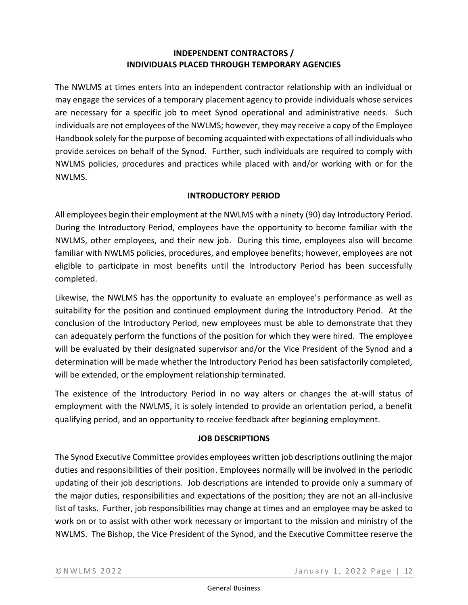# **INDEPENDENT CONTRACTORS / INDIVIDUALS PLACED THROUGH TEMPORARY AGENCIES**

The NWLMS at times enters into an independent contractor relationship with an individual or may engage the services of a temporary placement agency to provide individuals whose services are necessary for a specific job to meet Synod operational and administrative needs. Such individuals are not employees of the NWLMS; however, they may receive a copy of the Employee Handbook solely for the purpose of becoming acquainted with expectations of all individuals who provide services on behalf of the Synod. Further, such individuals are required to comply with NWLMS policies, procedures and practices while placed with and/or working with or for the NWLMS.

# **INTRODUCTORY PERIOD**

All employees begin their employment at the NWLMS with a ninety (90) day Introductory Period. During the Introductory Period, employees have the opportunity to become familiar with the NWLMS, other employees, and their new job. During this time, employees also will become familiar with NWLMS policies, procedures, and employee benefits; however, employees are not eligible to participate in most benefits until the Introductory Period has been successfully completed.

Likewise, the NWLMS has the opportunity to evaluate an employee's performance as well as suitability for the position and continued employment during the Introductory Period. At the conclusion of the Introductory Period, new employees must be able to demonstrate that they can adequately perform the functions of the position for which they were hired. The employee will be evaluated by their designated supervisor and/or the Vice President of the Synod and a determination will be made whether the Introductory Period has been satisfactorily completed, will be extended, or the employment relationship terminated.

The existence of the Introductory Period in no way alters or changes the at-will status of employment with the NWLMS, it is solely intended to provide an orientation period, a benefit qualifying period, and an opportunity to receive feedback after beginning employment.

# **JOB DESCRIPTIONS**

The Synod Executive Committee provides employees written job descriptions outlining the major duties and responsibilities of their position. Employees normally will be involved in the periodic updating of their job descriptions. Job descriptions are intended to provide only a summary of the major duties, responsibilities and expectations of the position; they are not an all-inclusive list of tasks. Further, job responsibilities may change at times and an employee may be asked to work on or to assist with other work necessary or important to the mission and ministry of the NWLMS. The Bishop, the Vice President of the Synod, and the Executive Committee reserve the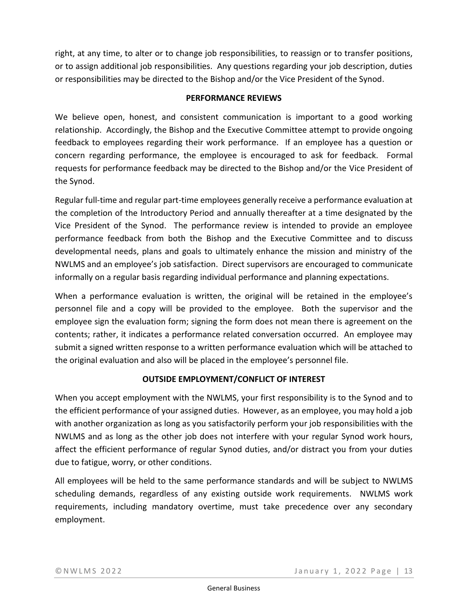right, at any time, to alter or to change job responsibilities, to reassign or to transfer positions, or to assign additional job responsibilities. Any questions regarding your job description, duties or responsibilities may be directed to the Bishop and/or the Vice President of the Synod.

# **PERFORMANCE REVIEWS**

We believe open, honest, and consistent communication is important to a good working relationship. Accordingly, the Bishop and the Executive Committee attempt to provide ongoing feedback to employees regarding their work performance. If an employee has a question or concern regarding performance, the employee is encouraged to ask for feedback. Formal requests for performance feedback may be directed to the Bishop and/or the Vice President of the Synod.

Regular full-time and regular part-time employees generally receive a performance evaluation at the completion of the Introductory Period and annually thereafter at a time designated by the Vice President of the Synod. The performance review is intended to provide an employee performance feedback from both the Bishop and the Executive Committee and to discuss developmental needs, plans and goals to ultimately enhance the mission and ministry of the NWLMS and an employee's job satisfaction. Direct supervisors are encouraged to communicate informally on a regular basis regarding individual performance and planning expectations.

When a performance evaluation is written, the original will be retained in the employee's personnel file and a copy will be provided to the employee. Both the supervisor and the employee sign the evaluation form; signing the form does not mean there is agreement on the contents; rather, it indicates a performance related conversation occurred. An employee may submit a signed written response to a written performance evaluation which will be attached to the original evaluation and also will be placed in the employee's personnel file.

### **OUTSIDE EMPLOYMENT/CONFLICT OF INTEREST**

When you accept employment with the NWLMS, your first responsibility is to the Synod and to the efficient performance of your assigned duties. However, as an employee, you may hold a job with another organization as long as you satisfactorily perform your job responsibilities with the NWLMS and as long as the other job does not interfere with your regular Synod work hours, affect the efficient performance of regular Synod duties, and/or distract you from your duties due to fatigue, worry, or other conditions.

All employees will be held to the same performance standards and will be subject to NWLMS scheduling demands, regardless of any existing outside work requirements. NWLMS work requirements, including mandatory overtime, must take precedence over any secondary employment.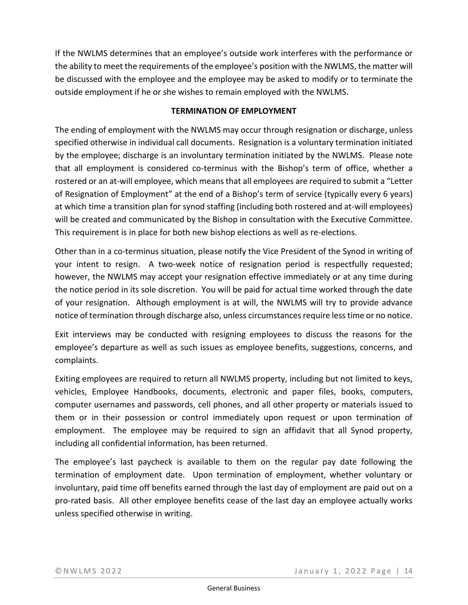If the NWLMS determines that an employee's outside work interferes with the performance or the ability to meet the requirements of the employee's position with the NWLMS, the matter will be discussed with the employee and the employee may be asked to modify or to terminate the outside employment if he or she wishes to remain employed with the NWLMS.

# **TERMINATION OF EMPLOYMENT**

The ending of employment with the NWLMS may occur through resignation or discharge, unless specified otherwise in individual call documents. Resignation is a voluntary termination initiated by the employee; discharge is an involuntary termination initiated by the NWLMS. Please note that all employment is considered co-terminus with the Bishop's term of office, whether a rostered or an at-will employee, which means that all employees are required to submit a "Letter of Resignation of Employment" at the end of a Bishop's term of service (typically every 6 years) at which time a transition plan for synod staffing (including both rostered and at-will employees) will be created and communicated by the Bishop in consultation with the Executive Committee. This requirement is in place for both new bishop elections as well as re-elections.

Other than in a co-terminus situation, please notify the Vice President of the Synod in writing of your intent to resign. A two-week notice of resignation period is respectfully requested; however, the NWLMS may accept your resignation effective immediately or at any time during the notice period in its sole discretion. You will be paid for actual time worked through the date of your resignation. Although employment is at will, the NWLMS will try to provide advance notice of termination through discharge also, unless circumstances require less time or no notice.

Exit interviews may be conducted with resigning employees to discuss the reasons for the employee's departure as well as such issues as employee benefits, suggestions, concerns, and complaints.

Exiting employees are required to return all NWLMS property, including but not limited to keys, vehicles, Employee Handbooks, documents, electronic and paper files, books, computers, computer usernames and passwords, cell phones, and all other property or materials issued to them or in their possession or control immediately upon request or upon termination of employment. The employee may be required to sign an affidavit that all Synod property, including all confidential information, has been returned.

The employee's last paycheck is available to them on the regular pay date following the termination of employment date. Upon termination of employment, whether voluntary or involuntary, paid time off benefits earned through the last day of employment are paid out on a pro-rated basis. All other employee benefits cease of the last day an employee actually works unless specified otherwise in writing.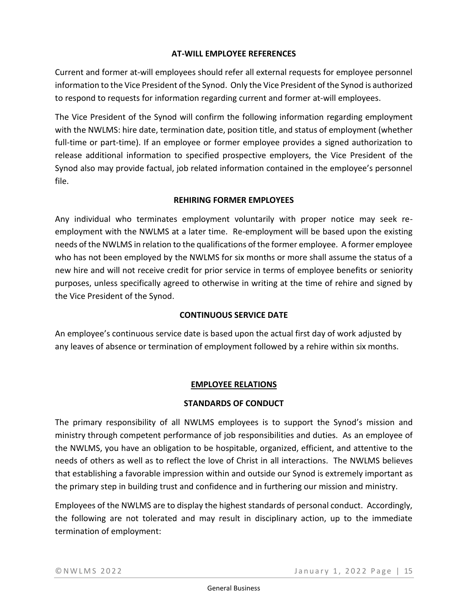# **AT-WILL EMPLOYEE REFERENCES**

Current and former at-will employees should refer all external requests for employee personnel information to the Vice President of the Synod. Only the Vice President of the Synod is authorized to respond to requests for information regarding current and former at-will employees.

The Vice President of the Synod will confirm the following information regarding employment with the NWLMS: hire date, termination date, position title, and status of employment (whether full-time or part-time). If an employee or former employee provides a signed authorization to release additional information to specified prospective employers, the Vice President of the Synod also may provide factual, job related information contained in the employee's personnel file.

# **REHIRING FORMER EMPLOYEES**

Any individual who terminates employment voluntarily with proper notice may seek reemployment with the NWLMS at a later time. Re-employment will be based upon the existing needs of the NWLMS in relation to the qualifications of the former employee. A former employee who has not been employed by the NWLMS for six months or more shall assume the status of a new hire and will not receive credit for prior service in terms of employee benefits or seniority purposes, unless specifically agreed to otherwise in writing at the time of rehire and signed by the Vice President of the Synod.

# **CONTINUOUS SERVICE DATE**

An employee's continuous service date is based upon the actual first day of work adjusted by any leaves of absence or termination of employment followed by a rehire within six months.

# **EMPLOYEE RELATIONS**

### **STANDARDS OF CONDUCT**

The primary responsibility of all NWLMS employees is to support the Synod's mission and ministry through competent performance of job responsibilities and duties. As an employee of the NWLMS, you have an obligation to be hospitable, organized, efficient, and attentive to the needs of others as well as to reflect the love of Christ in all interactions. The NWLMS believes that establishing a favorable impression within and outside our Synod is extremely important as the primary step in building trust and confidence and in furthering our mission and ministry.

Employees of the NWLMS are to display the highest standards of personal conduct. Accordingly, the following are not tolerated and may result in disciplinary action, up to the immediate termination of employment: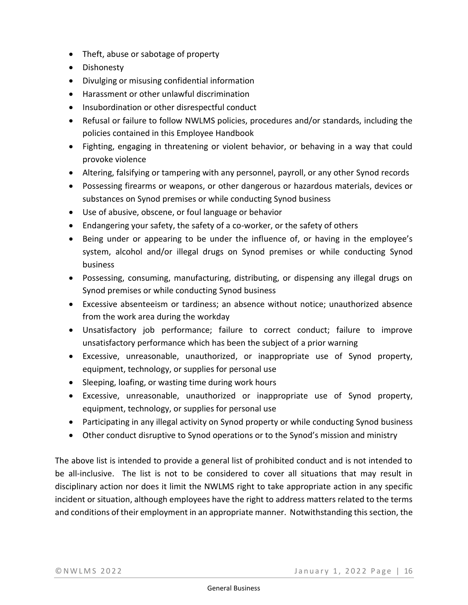- Theft, abuse or sabotage of property
- Dishonesty
- Divulging or misusing confidential information
- Harassment or other unlawful discrimination
- Insubordination or other disrespectful conduct
- Refusal or failure to follow NWLMS policies, procedures and/or standards, including the policies contained in this Employee Handbook
- Fighting, engaging in threatening or violent behavior, or behaving in a way that could provoke violence
- Altering, falsifying or tampering with any personnel, payroll, or any other Synod records
- Possessing firearms or weapons, or other dangerous or hazardous materials, devices or substances on Synod premises or while conducting Synod business
- Use of abusive, obscene, or foul language or behavior
- Endangering your safety, the safety of a co-worker, or the safety of others
- Being under or appearing to be under the influence of, or having in the employee's system, alcohol and/or illegal drugs on Synod premises or while conducting Synod business
- Possessing, consuming, manufacturing, distributing, or dispensing any illegal drugs on Synod premises or while conducting Synod business
- Excessive absenteeism or tardiness; an absence without notice; unauthorized absence from the work area during the workday
- Unsatisfactory job performance; failure to correct conduct; failure to improve unsatisfactory performance which has been the subject of a prior warning
- Excessive, unreasonable, unauthorized, or inappropriate use of Synod property, equipment, technology, or supplies for personal use
- Sleeping, loafing, or wasting time during work hours
- Excessive, unreasonable, unauthorized or inappropriate use of Synod property, equipment, technology, or supplies for personal use
- Participating in any illegal activity on Synod property or while conducting Synod business
- Other conduct disruptive to Synod operations or to the Synod's mission and ministry

The above list is intended to provide a general list of prohibited conduct and is not intended to be all-inclusive. The list is not to be considered to cover all situations that may result in disciplinary action nor does it limit the NWLMS right to take appropriate action in any specific incident or situation, although employees have the right to address matters related to the terms and conditions of their employment in an appropriate manner. Notwithstanding this section, the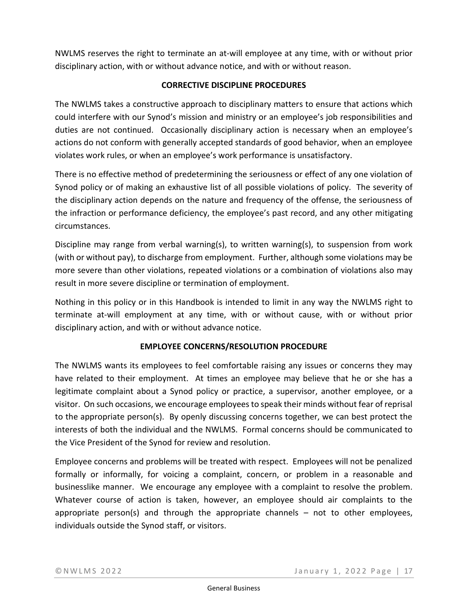NWLMS reserves the right to terminate an at-will employee at any time, with or without prior disciplinary action, with or without advance notice, and with or without reason.

# **CORRECTIVE DISCIPLINE PROCEDURES**

The NWLMS takes a constructive approach to disciplinary matters to ensure that actions which could interfere with our Synod's mission and ministry or an employee's job responsibilities and duties are not continued. Occasionally disciplinary action is necessary when an employee's actions do not conform with generally accepted standards of good behavior, when an employee violates work rules, or when an employee's work performance is unsatisfactory.

There is no effective method of predetermining the seriousness or effect of any one violation of Synod policy or of making an exhaustive list of all possible violations of policy. The severity of the disciplinary action depends on the nature and frequency of the offense, the seriousness of the infraction or performance deficiency, the employee's past record, and any other mitigating circumstances.

Discipline may range from verbal warning(s), to written warning(s), to suspension from work (with or without pay), to discharge from employment. Further, although some violations may be more severe than other violations, repeated violations or a combination of violations also may result in more severe discipline or termination of employment.

Nothing in this policy or in this Handbook is intended to limit in any way the NWLMS right to terminate at-will employment at any time, with or without cause, with or without prior disciplinary action, and with or without advance notice.

### **EMPLOYEE CONCERNS/RESOLUTION PROCEDURE**

The NWLMS wants its employees to feel comfortable raising any issues or concerns they may have related to their employment. At times an employee may believe that he or she has a legitimate complaint about a Synod policy or practice, a supervisor, another employee, or a visitor. On such occasions, we encourage employees to speak their minds without fear of reprisal to the appropriate person(s). By openly discussing concerns together, we can best protect the interests of both the individual and the NWLMS. Formal concerns should be communicated to the Vice President of the Synod for review and resolution.

Employee concerns and problems will be treated with respect. Employees will not be penalized formally or informally, for voicing a complaint, concern, or problem in a reasonable and businesslike manner. We encourage any employee with a complaint to resolve the problem. Whatever course of action is taken, however, an employee should air complaints to the appropriate person(s) and through the appropriate channels – not to other employees, individuals outside the Synod staff, or visitors.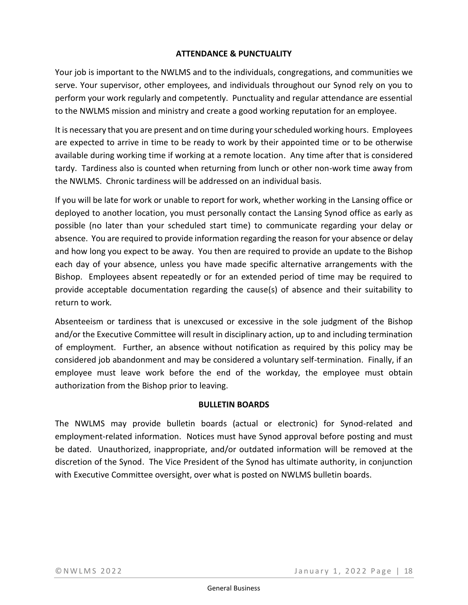#### **ATTENDANCE & PUNCTUALITY**

Your job is important to the NWLMS and to the individuals, congregations, and communities we serve. Your supervisor, other employees, and individuals throughout our Synod rely on you to perform your work regularly and competently. Punctuality and regular attendance are essential to the NWLMS mission and ministry and create a good working reputation for an employee.

It is necessary that you are present and on time during your scheduled working hours. Employees are expected to arrive in time to be ready to work by their appointed time or to be otherwise available during working time if working at a remote location. Any time after that is considered tardy. Tardiness also is counted when returning from lunch or other non-work time away from the NWLMS. Chronic tardiness will be addressed on an individual basis.

If you will be late for work or unable to report for work, whether working in the Lansing office or deployed to another location, you must personally contact the Lansing Synod office as early as possible (no later than your scheduled start time) to communicate regarding your delay or absence. You are required to provide information regarding the reason for your absence or delay and how long you expect to be away. You then are required to provide an update to the Bishop each day of your absence, unless you have made specific alternative arrangements with the Bishop. Employees absent repeatedly or for an extended period of time may be required to provide acceptable documentation regarding the cause(s) of absence and their suitability to return to work.

Absenteeism or tardiness that is unexcused or excessive in the sole judgment of the Bishop and/or the Executive Committee will result in disciplinary action, up to and including termination of employment. Further, an absence without notification as required by this policy may be considered job abandonment and may be considered a voluntary self-termination. Finally, if an employee must leave work before the end of the workday, the employee must obtain authorization from the Bishop prior to leaving.

### **BULLETIN BOARDS**

The NWLMS may provide bulletin boards (actual or electronic) for Synod-related and employment-related information. Notices must have Synod approval before posting and must be dated. Unauthorized, inappropriate, and/or outdated information will be removed at the discretion of the Synod. The Vice President of the Synod has ultimate authority, in conjunction with Executive Committee oversight, over what is posted on NWLMS bulletin boards.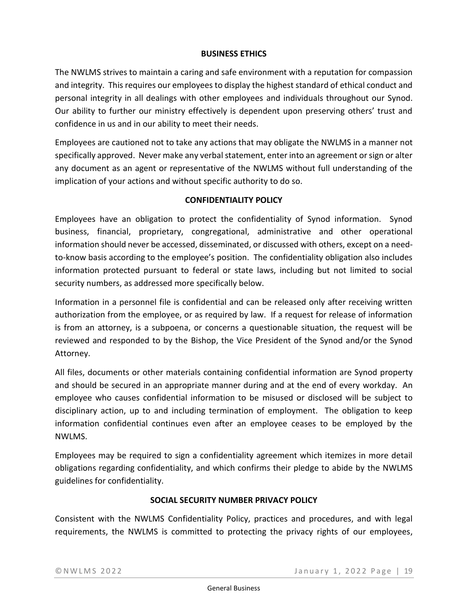# **BUSINESS ETHICS**

The NWLMS strives to maintain a caring and safe environment with a reputation for compassion and integrity. This requires our employees to display the highest standard of ethical conduct and personal integrity in all dealings with other employees and individuals throughout our Synod. Our ability to further our ministry effectively is dependent upon preserving others' trust and confidence in us and in our ability to meet their needs.

Employees are cautioned not to take any actions that may obligate the NWLMS in a manner not specifically approved. Never make any verbal statement, enter into an agreement or sign or alter any document as an agent or representative of the NWLMS without full understanding of the implication of your actions and without specific authority to do so.

# **CONFIDENTIALITY POLICY**

Employees have an obligation to protect the confidentiality of Synod information. Synod business, financial, proprietary, congregational, administrative and other operational information should never be accessed, disseminated, or discussed with others, except on a needto-know basis according to the employee's position. The confidentiality obligation also includes information protected pursuant to federal or state laws, including but not limited to social security numbers, as addressed more specifically below.

Information in a personnel file is confidential and can be released only after receiving written authorization from the employee, or as required by law. If a request for release of information is from an attorney, is a subpoena, or concerns a questionable situation, the request will be reviewed and responded to by the Bishop, the Vice President of the Synod and/or the Synod Attorney.

All files, documents or other materials containing confidential information are Synod property and should be secured in an appropriate manner during and at the end of every workday. An employee who causes confidential information to be misused or disclosed will be subject to disciplinary action, up to and including termination of employment. The obligation to keep information confidential continues even after an employee ceases to be employed by the NWLMS.

Employees may be required to sign a confidentiality agreement which itemizes in more detail obligations regarding confidentiality, and which confirms their pledge to abide by the NWLMS guidelines for confidentiality.

### **SOCIAL SECURITY NUMBER PRIVACY POLICY**

Consistent with the NWLMS Confidentiality Policy, practices and procedures, and with legal requirements, the NWLMS is committed to protecting the privacy rights of our employees,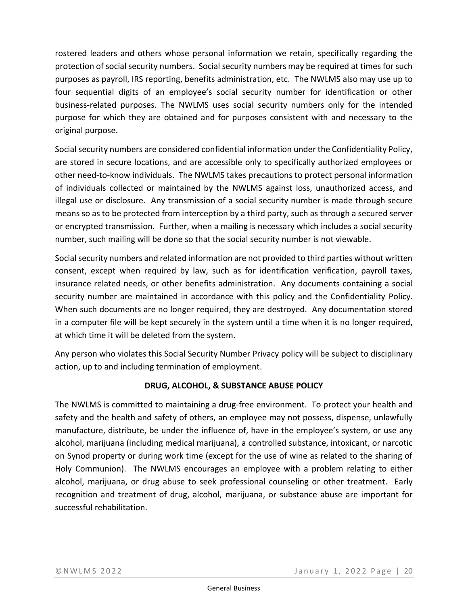rostered leaders and others whose personal information we retain, specifically regarding the protection of social security numbers. Social security numbers may be required at times for such purposes as payroll, IRS reporting, benefits administration, etc. The NWLMS also may use up to four sequential digits of an employee's social security number for identification or other business-related purposes. The NWLMS uses social security numbers only for the intended purpose for which they are obtained and for purposes consistent with and necessary to the original purpose.

Social security numbers are considered confidential information under the Confidentiality Policy, are stored in secure locations, and are accessible only to specifically authorized employees or other need-to-know individuals. The NWLMS takes precautions to protect personal information of individuals collected or maintained by the NWLMS against loss, unauthorized access, and illegal use or disclosure. Any transmission of a social security number is made through secure means so as to be protected from interception by a third party, such as through a secured server or encrypted transmission. Further, when a mailing is necessary which includes a social security number, such mailing will be done so that the social security number is not viewable.

Social security numbers and related information are not provided to third parties without written consent, except when required by law, such as for identification verification, payroll taxes, insurance related needs, or other benefits administration. Any documents containing a social security number are maintained in accordance with this policy and the Confidentiality Policy. When such documents are no longer required, they are destroyed. Any documentation stored in a computer file will be kept securely in the system until a time when it is no longer required, at which time it will be deleted from the system.

Any person who violates this Social Security Number Privacy policy will be subject to disciplinary action, up to and including termination of employment.

# **DRUG, ALCOHOL, & SUBSTANCE ABUSE POLICY**

The NWLMS is committed to maintaining a drug-free environment. To protect your health and safety and the health and safety of others, an employee may not possess, dispense, unlawfully manufacture, distribute, be under the influence of, have in the employee's system, or use any alcohol, marijuana (including medical marijuana), a controlled substance, intoxicant, or narcotic on Synod property or during work time (except for the use of wine as related to the sharing of Holy Communion). The NWLMS encourages an employee with a problem relating to either alcohol, marijuana, or drug abuse to seek professional counseling or other treatment. Early recognition and treatment of drug, alcohol, marijuana, or substance abuse are important for successful rehabilitation.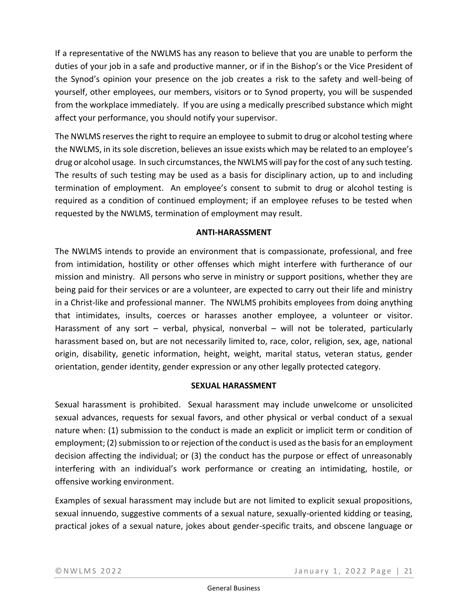If a representative of the NWLMS has any reason to believe that you are unable to perform the duties of your job in a safe and productive manner, or if in the Bishop's or the Vice President of the Synod's opinion your presence on the job creates a risk to the safety and well-being of yourself, other employees, our members, visitors or to Synod property, you will be suspended from the workplace immediately. If you are using a medically prescribed substance which might affect your performance, you should notify your supervisor.

The NWLMS reserves the right to require an employee to submit to drug or alcohol testing where the NWLMS, in its sole discretion, believes an issue exists which may be related to an employee's drug or alcohol usage. In such circumstances, the NWLMS will pay for the cost of any such testing. The results of such testing may be used as a basis for disciplinary action, up to and including termination of employment. An employee's consent to submit to drug or alcohol testing is required as a condition of continued employment; if an employee refuses to be tested when requested by the NWLMS, termination of employment may result.

### **ANTI-HARASSMENT**

The NWLMS intends to provide an environment that is compassionate, professional, and free from intimidation, hostility or other offenses which might interfere with furtherance of our mission and ministry. All persons who serve in ministry or support positions, whether they are being paid for their services or are a volunteer, are expected to carry out their life and ministry in a Christ-like and professional manner. The NWLMS prohibits employees from doing anything that intimidates, insults, coerces or harasses another employee, a volunteer or visitor. Harassment of any sort – verbal, physical, nonverbal – will not be tolerated, particularly harassment based on, but are not necessarily limited to, race, color, religion, sex, age, national origin, disability, genetic information, height, weight, marital status, veteran status, gender orientation, gender identity, gender expression or any other legally protected category.

# **SEXUAL HARASSMENT**

Sexual harassment is prohibited. Sexual harassment may include unwelcome or unsolicited sexual advances, requests for sexual favors, and other physical or verbal conduct of a sexual nature when: (1) submission to the conduct is made an explicit or implicit term or condition of employment; (2) submission to or rejection of the conduct is used as the basis for an employment decision affecting the individual; or (3) the conduct has the purpose or effect of unreasonably interfering with an individual's work performance or creating an intimidating, hostile, or offensive working environment.

Examples of sexual harassment may include but are not limited to explicit sexual propositions, sexual innuendo, suggestive comments of a sexual nature, sexually-oriented kidding or teasing, practical jokes of a sexual nature, jokes about gender-specific traits, and obscene language or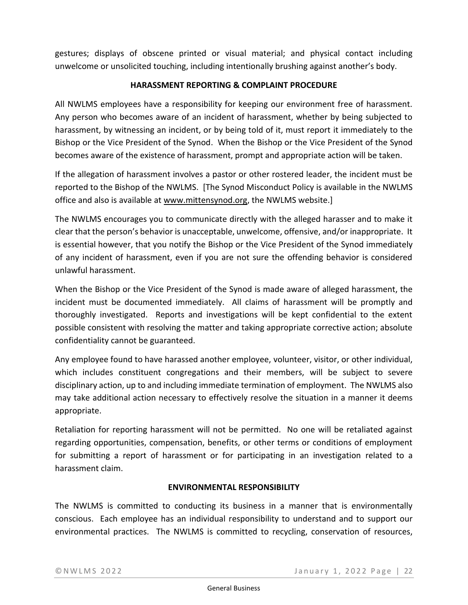gestures; displays of obscene printed or visual material; and physical contact including unwelcome or unsolicited touching, including intentionally brushing against another's body.

# **HARASSMENT REPORTING & COMPLAINT PROCEDURE**

All NWLMS employees have a responsibility for keeping our environment free of harassment. Any person who becomes aware of an incident of harassment, whether by being subjected to harassment, by witnessing an incident, or by being told of it, must report it immediately to the Bishop or the Vice President of the Synod. When the Bishop or the Vice President of the Synod becomes aware of the existence of harassment, prompt and appropriate action will be taken.

If the allegation of harassment involves a pastor or other rostered leader, the incident must be reported to the Bishop of the NWLMS. [The Synod Misconduct Policy is available in the NWLMS office and also is available at [www.mittensynod.org,](http://www.mittensynod.org/) the NWLMS website.]

The NWLMS encourages you to communicate directly with the alleged harasser and to make it clear that the person's behavior is unacceptable, unwelcome, offensive, and/or inappropriate. It is essential however, that you notify the Bishop or the Vice President of the Synod immediately of any incident of harassment, even if you are not sure the offending behavior is considered unlawful harassment.

When the Bishop or the Vice President of the Synod is made aware of alleged harassment, the incident must be documented immediately. All claims of harassment will be promptly and thoroughly investigated. Reports and investigations will be kept confidential to the extent possible consistent with resolving the matter and taking appropriate corrective action; absolute confidentiality cannot be guaranteed.

Any employee found to have harassed another employee, volunteer, visitor, or other individual, which includes constituent congregations and their members, will be subject to severe disciplinary action, up to and including immediate termination of employment. The NWLMS also may take additional action necessary to effectively resolve the situation in a manner it deems appropriate.

Retaliation for reporting harassment will not be permitted. No one will be retaliated against regarding opportunities, compensation, benefits, or other terms or conditions of employment for submitting a report of harassment or for participating in an investigation related to a harassment claim.

### **ENVIRONMENTAL RESPONSIBILITY**

The NWLMS is committed to conducting its business in a manner that is environmentally conscious. Each employee has an individual responsibility to understand and to support our environmental practices. The NWLMS is committed to recycling, conservation of resources,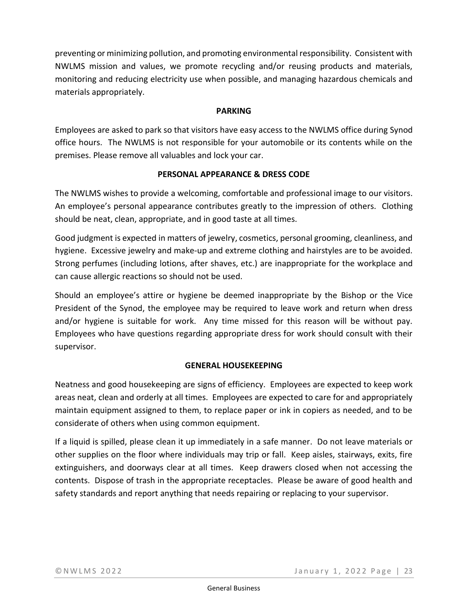preventing or minimizing pollution, and promoting environmental responsibility. Consistent with NWLMS mission and values, we promote recycling and/or reusing products and materials, monitoring and reducing electricity use when possible, and managing hazardous chemicals and materials appropriately.

# **PARKING**

Employees are asked to park so that visitors have easy access to the NWLMS office during Synod office hours. The NWLMS is not responsible for your automobile or its contents while on the premises. Please remove all valuables and lock your car.

# **PERSONAL APPEARANCE & DRESS CODE**

The NWLMS wishes to provide a welcoming, comfortable and professional image to our visitors. An employee's personal appearance contributes greatly to the impression of others. Clothing should be neat, clean, appropriate, and in good taste at all times.

Good judgment is expected in matters of jewelry, cosmetics, personal grooming, cleanliness, and hygiene. Excessive jewelry and make-up and extreme clothing and hairstyles are to be avoided. Strong perfumes (including lotions, after shaves, etc.) are inappropriate for the workplace and can cause allergic reactions so should not be used.

Should an employee's attire or hygiene be deemed inappropriate by the Bishop or the Vice President of the Synod, the employee may be required to leave work and return when dress and/or hygiene is suitable for work. Any time missed for this reason will be without pay. Employees who have questions regarding appropriate dress for work should consult with their supervisor.

# **GENERAL HOUSEKEEPING**

Neatness and good housekeeping are signs of efficiency. Employees are expected to keep work areas neat, clean and orderly at all times. Employees are expected to care for and appropriately maintain equipment assigned to them, to replace paper or ink in copiers as needed, and to be considerate of others when using common equipment.

If a liquid is spilled, please clean it up immediately in a safe manner. Do not leave materials or other supplies on the floor where individuals may trip or fall. Keep aisles, stairways, exits, fire extinguishers, and doorways clear at all times. Keep drawers closed when not accessing the contents. Dispose of trash in the appropriate receptacles. Please be aware of good health and safety standards and report anything that needs repairing or replacing to your supervisor.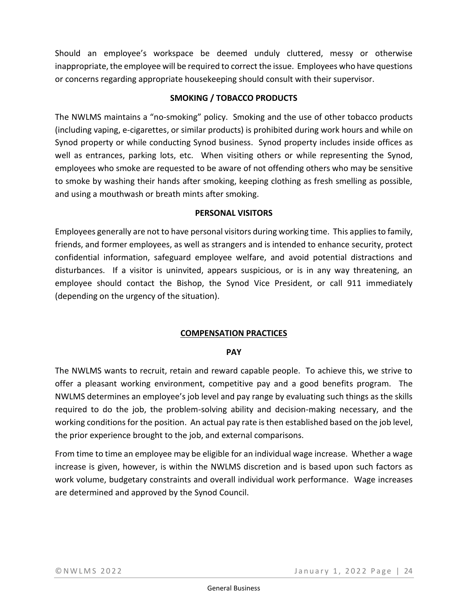Should an employee's workspace be deemed unduly cluttered, messy or otherwise inappropriate, the employee will be required to correct the issue. Employees who have questions or concerns regarding appropriate housekeeping should consult with their supervisor.

# **SMOKING / TOBACCO PRODUCTS**

The NWLMS maintains a "no-smoking" policy. Smoking and the use of other tobacco products (including vaping, e-cigarettes, or similar products) is prohibited during work hours and while on Synod property or while conducting Synod business. Synod property includes inside offices as well as entrances, parking lots, etc. When visiting others or while representing the Synod, employees who smoke are requested to be aware of not offending others who may be sensitive to smoke by washing their hands after smoking, keeping clothing as fresh smelling as possible, and using a mouthwash or breath mints after smoking.

### **PERSONAL VISITORS**

Employees generally are not to have personal visitors during working time. This applies to family, friends, and former employees, as well as strangers and is intended to enhance security, protect confidential information, safeguard employee welfare, and avoid potential distractions and disturbances. If a visitor is uninvited, appears suspicious, or is in any way threatening, an employee should contact the Bishop, the Synod Vice President, or call 911 immediately (depending on the urgency of the situation).

# **COMPENSATION PRACTICES**

### **PAY**

The NWLMS wants to recruit, retain and reward capable people. To achieve this, we strive to offer a pleasant working environment, competitive pay and a good benefits program. The NWLMS determines an employee's job level and pay range by evaluating such things as the skills required to do the job, the problem-solving ability and decision-making necessary, and the working conditions for the position. An actual pay rate is then established based on the job level, the prior experience brought to the job, and external comparisons.

From time to time an employee may be eligible for an individual wage increase. Whether a wage increase is given, however, is within the NWLMS discretion and is based upon such factors as work volume, budgetary constraints and overall individual work performance. Wage increases are determined and approved by the Synod Council.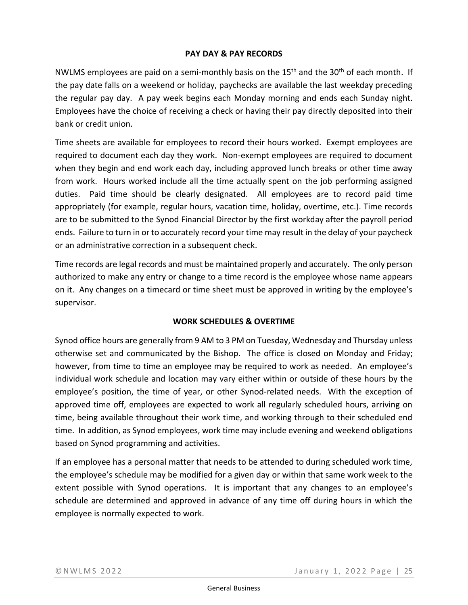# **PAY DAY & PAY RECORDS**

NWLMS employees are paid on a semi-monthly basis on the 15<sup>th</sup> and the 30<sup>th</sup> of each month. If the pay date falls on a weekend or holiday, paychecks are available the last weekday preceding the regular pay day. A pay week begins each Monday morning and ends each Sunday night. Employees have the choice of receiving a check or having their pay directly deposited into their bank or credit union.

Time sheets are available for employees to record their hours worked. Exempt employees are required to document each day they work. Non-exempt employees are required to document when they begin and end work each day, including approved lunch breaks or other time away from work. Hours worked include all the time actually spent on the job performing assigned duties. Paid time should be clearly designated. All employees are to record paid time appropriately (for example, regular hours, vacation time, holiday, overtime, etc.). Time records are to be submitted to the Synod Financial Director by the first workday after the payroll period ends. Failure to turn in or to accurately record your time may result in the delay of your paycheck or an administrative correction in a subsequent check.

Time records are legal records and must be maintained properly and accurately. The only person authorized to make any entry or change to a time record is the employee whose name appears on it. Any changes on a timecard or time sheet must be approved in writing by the employee's supervisor.

# **WORK SCHEDULES & OVERTIME**

Synod office hours are generally from 9 AM to 3 PM on Tuesday, Wednesday and Thursday unless otherwise set and communicated by the Bishop. The office is closed on Monday and Friday; however, from time to time an employee may be required to work as needed. An employee's individual work schedule and location may vary either within or outside of these hours by the employee's position, the time of year, or other Synod-related needs. With the exception of approved time off, employees are expected to work all regularly scheduled hours, arriving on time, being available throughout their work time, and working through to their scheduled end time. In addition, as Synod employees, work time may include evening and weekend obligations based on Synod programming and activities.

If an employee has a personal matter that needs to be attended to during scheduled work time, the employee's schedule may be modified for a given day or within that same work week to the extent possible with Synod operations. It is important that any changes to an employee's schedule are determined and approved in advance of any time off during hours in which the employee is normally expected to work.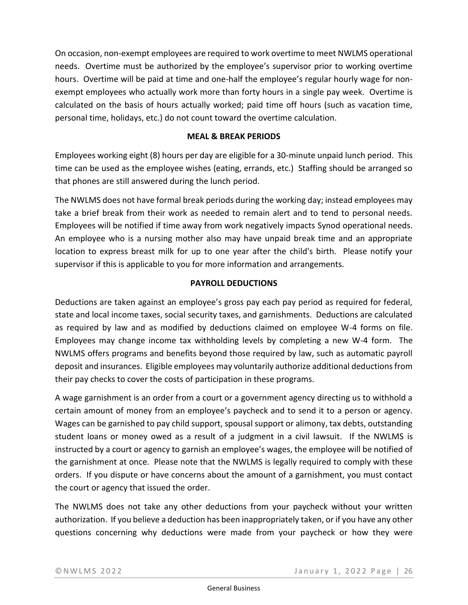On occasion, non-exempt employees are required to work overtime to meet NWLMS operational needs. Overtime must be authorized by the employee's supervisor prior to working overtime hours. Overtime will be paid at time and one-half the employee's regular hourly wage for nonexempt employees who actually work more than forty hours in a single pay week. Overtime is calculated on the basis of hours actually worked; paid time off hours (such as vacation time, personal time, holidays, etc.) do not count toward the overtime calculation.

# **MEAL & BREAK PERIODS**

Employees working eight (8) hours per day are eligible for a 30-minute unpaid lunch period. This time can be used as the employee wishes (eating, errands, etc.) Staffing should be arranged so that phones are still answered during the lunch period.

The NWLMS does not have formal break periods during the working day; instead employees may take a brief break from their work as needed to remain alert and to tend to personal needs. Employees will be notified if time away from work negatively impacts Synod operational needs. An employee who is a nursing mother also may have unpaid break time and an appropriate location to express breast milk for up to one year after the child's birth. Please notify your supervisor if this is applicable to you for more information and arrangements.

# **PAYROLL DEDUCTIONS**

Deductions are taken against an employee's gross pay each pay period as required for federal, state and local income taxes, social security taxes, and garnishments. Deductions are calculated as required by law and as modified by deductions claimed on employee W-4 forms on file. Employees may change income tax withholding levels by completing a new W-4 form. The NWLMS offers programs and benefits beyond those required by law, such as automatic payroll deposit and insurances. Eligible employees may voluntarily authorize additional deductions from their pay checks to cover the costs of participation in these programs.

A wage garnishment is an order from a court or a government agency directing us to withhold a certain amount of money from an employee's paycheck and to send it to a person or agency. Wages can be garnished to pay child support, spousal support or alimony, tax debts, outstanding student loans or money owed as a result of a judgment in a civil lawsuit. If the NWLMS is instructed by a court or agency to garnish an employee's wages, the employee will be notified of the garnishment at once. Please note that the NWLMS is legally required to comply with these orders. If you dispute or have concerns about the amount of a garnishment, you must contact the court or agency that issued the order.

The NWLMS does not take any other deductions from your paycheck without your written authorization. If you believe a deduction has been inappropriately taken, or if you have any other questions concerning why deductions were made from your paycheck or how they were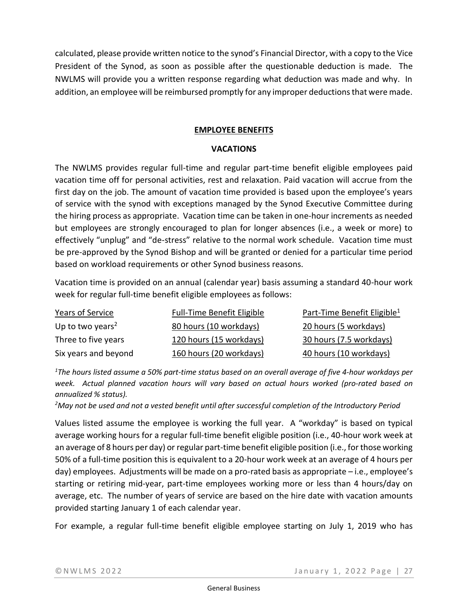calculated, please provide written notice to the synod's Financial Director, with a copy to the Vice President of the Synod, as soon as possible after the questionable deduction is made. The NWLMS will provide you a written response regarding what deduction was made and why. In addition, an employee will be reimbursed promptly for any improper deductions that were made.

### **EMPLOYEE BENEFITS**

#### **VACATIONS**

The NWLMS provides regular full-time and regular part-time benefit eligible employees paid vacation time off for personal activities, rest and relaxation. Paid vacation will accrue from the first day on the job. The amount of vacation time provided is based upon the employee's years of service with the synod with exceptions managed by the Synod Executive Committee during the hiring process as appropriate. Vacation time can be taken in one-hour increments as needed but employees are strongly encouraged to plan for longer absences (i.e., a week or more) to effectively "unplug" and "de-stress" relative to the normal work schedule. Vacation time must be pre-approved by the Synod Bishop and will be granted or denied for a particular time period based on workload requirements or other Synod business reasons.

Vacation time is provided on an annual (calendar year) basis assuming a standard 40-hour work week for regular full-time benefit eligible employees as follows:

| Years of Service             | <b>Full-Time Benefit Eligible</b> | Part-Time Benefit Eligible <sup>1</sup> |
|------------------------------|-----------------------------------|-----------------------------------------|
| Up to two years <sup>2</sup> | 80 hours (10 workdays)            | 20 hours (5 workdays)                   |
| Three to five years          | 120 hours (15 workdays)           | 30 hours (7.5 workdays)                 |
| Six years and beyond         | 160 hours (20 workdays)           | 40 hours (10 workdays)                  |

*<sup>1</sup>The hours listed assume a 50% part-time status based on an overall average of five 4-hour workdays per week. Actual planned vacation hours will vary based on actual hours worked (pro-rated based on annualized % status).*

*<sup>2</sup>May not be used and not a vested benefit until after successful completion of the Introductory Period*

Values listed assume the employee is working the full year. A "workday" is based on typical average working hours for a regular full-time benefit eligible position (i.e., 40-hour work week at an average of 8 hours per day) or regular part-time benefit eligible position (i.e., for those working 50% of a full-time position this is equivalent to a 20-hour work week at an average of 4 hours per day) employees. Adjustments will be made on a pro-rated basis as appropriate – i.e., employee's starting or retiring mid-year, part-time employees working more or less than 4 hours/day on average, etc. The number of years of service are based on the hire date with vacation amounts provided starting January 1 of each calendar year.

For example, a regular full-time benefit eligible employee starting on July 1, 2019 who has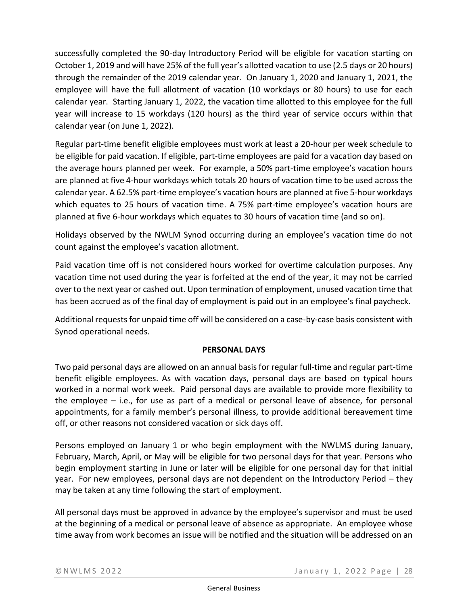successfully completed the 90-day Introductory Period will be eligible for vacation starting on October 1, 2019 and will have 25% of the full year's allotted vacation to use (2.5 days or 20 hours) through the remainder of the 2019 calendar year. On January 1, 2020 and January 1, 2021, the employee will have the full allotment of vacation (10 workdays or 80 hours) to use for each calendar year. Starting January 1, 2022, the vacation time allotted to this employee for the full year will increase to 15 workdays (120 hours) as the third year of service occurs within that calendar year (on June 1, 2022).

Regular part-time benefit eligible employees must work at least a 20-hour per week schedule to be eligible for paid vacation. If eligible, part-time employees are paid for a vacation day based on the average hours planned per week. For example, a 50% part-time employee's vacation hours are planned at five 4-hour workdays which totals 20 hours of vacation time to be used across the calendar year. A 62.5% part-time employee's vacation hours are planned at five 5-hour workdays which equates to 25 hours of vacation time. A 75% part-time employee's vacation hours are planned at five 6-hour workdays which equates to 30 hours of vacation time (and so on).

Holidays observed by the NWLM Synod occurring during an employee's vacation time do not count against the employee's vacation allotment.

Paid vacation time off is not considered hours worked for overtime calculation purposes. Any vacation time not used during the year is forfeited at the end of the year, it may not be carried over to the next year or cashed out. Upon termination of employment, unused vacation time that has been accrued as of the final day of employment is paid out in an employee's final paycheck.

Additional requests for unpaid time off will be considered on a case-by-case basis consistent with Synod operational needs.

# **PERSONAL DAYS**

Two paid personal days are allowed on an annual basis for regular full-time and regular part-time benefit eligible employees. As with vacation days, personal days are based on typical hours worked in a normal work week. Paid personal days are available to provide more flexibility to the employee – i.e., for use as part of a medical or personal leave of absence, for personal appointments, for a family member's personal illness, to provide additional bereavement time off, or other reasons not considered vacation or sick days off.

Persons employed on January 1 or who begin employment with the NWLMS during January, February, March, April, or May will be eligible for two personal days for that year. Persons who begin employment starting in June or later will be eligible for one personal day for that initial year. For new employees, personal days are not dependent on the Introductory Period – they may be taken at any time following the start of employment.

All personal days must be approved in advance by the employee's supervisor and must be used at the beginning of a medical or personal leave of absence as appropriate. An employee whose time away from work becomes an issue will be notified and the situation will be addressed on an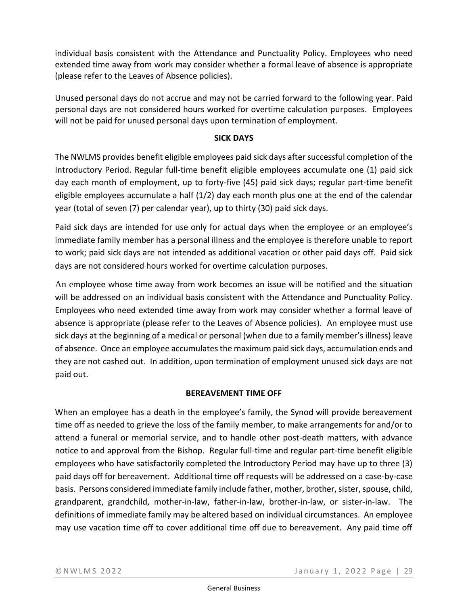individual basis consistent with the Attendance and Punctuality Policy. Employees who need extended time away from work may consider whether a formal leave of absence is appropriate (please refer to the Leaves of Absence policies).

Unused personal days do not accrue and may not be carried forward to the following year. Paid personal days are not considered hours worked for overtime calculation purposes. Employees will not be paid for unused personal days upon termination of employment.

# **SICK DAYS**

The NWLMS provides benefit eligible employees paid sick days after successful completion of the Introductory Period. Regular full-time benefit eligible employees accumulate one (1) paid sick day each month of employment, up to forty-five (45) paid sick days; regular part-time benefit eligible employees accumulate a half (1/2) day each month plus one at the end of the calendar year (total of seven (7) per calendar year), up to thirty (30) paid sick days.

Paid sick days are intended for use only for actual days when the employee or an employee's immediate family member has a personal illness and the employee is therefore unable to report to work; paid sick days are not intended as additional vacation or other paid days off. Paid sick days are not considered hours worked for overtime calculation purposes.

An employee whose time away from work becomes an issue will be notified and the situation will be addressed on an individual basis consistent with the Attendance and Punctuality Policy. Employees who need extended time away from work may consider whether a formal leave of absence is appropriate (please refer to the Leaves of Absence policies). An employee must use sick days at the beginning of a medical or personal (when due to a family member's illness) leave of absence. Once an employee accumulates the maximum paid sick days, accumulation ends and they are not cashed out. In addition, upon termination of employment unused sick days are not paid out.

### **BEREAVEMENT TIME OFF**

When an employee has a death in the employee's family, the Synod will provide bereavement time off as needed to grieve the loss of the family member, to make arrangements for and/or to attend a funeral or memorial service, and to handle other post-death matters, with advance notice to and approval from the Bishop. Regular full-time and regular part-time benefit eligible employees who have satisfactorily completed the Introductory Period may have up to three (3) paid days off for bereavement. Additional time off requests will be addressed on a case-by-case basis. Persons considered immediate family include father, mother, brother, sister, spouse, child, grandparent, grandchild, mother-in-law, father-in-law, brother-in-law, or sister-in-law. The definitions of immediate family may be altered based on individual circumstances. An employee may use vacation time off to cover additional time off due to bereavement. Any paid time off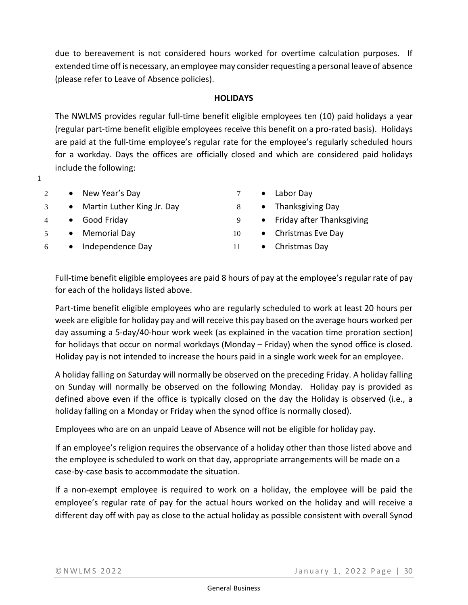due to bereavement is not considered hours worked for overtime calculation purposes. If extended time off is necessary, an employee may consider requesting a personal leave of absence (please refer to Leave of Absence policies).

### **HOLIDAYS**

The NWLMS provides regular full-time benefit eligible employees ten (10) paid holidays a year (regular part-time benefit eligible employees receive this benefit on a pro-rated basis). Holidays are paid at the full-time employee's regular rate for the employee's regularly scheduled hours for a workday. Days the offices are officially closed and which are considered paid holidays include the following:

- 1
- 2 New Year's Day
- 3 Martin Luther King Jr. Day
- 4 Good Friday
- 5 Memorial Day
- 6 Independence Day
- 7 Labor Day
- 8 Thanksgiving Day
- 9 Friday after Thanksgiving
- 10 Christmas Eve Day
- 11 Christmas Day

Full-time benefit eligible employees are paid 8 hours of pay at the employee's regular rate of pay for each of the holidays listed above.

Part-time benefit eligible employees who are regularly scheduled to work at least 20 hours per week are eligible for holiday pay and will receive this pay based on the average hours worked per day assuming a 5-day/40-hour work week (as explained in the vacation time proration section) for holidays that occur on normal workdays (Monday – Friday) when the synod office is closed. Holiday pay is not intended to increase the hours paid in a single work week for an employee.

A holiday falling on Saturday will normally be observed on the preceding Friday. A holiday falling on Sunday will normally be observed on the following Monday. Holiday pay is provided as defined above even if the office is typically closed on the day the Holiday is observed (i.e., a holiday falling on a Monday or Friday when the synod office is normally closed).

Employees who are on an unpaid Leave of Absence will not be eligible for holiday pay.

If an employee's religion requires the observance of a holiday other than those listed above and the employee is scheduled to work on that day, appropriate arrangements will be made on a case-by-case basis to accommodate the situation.

If a non-exempt employee is required to work on a holiday, the employee will be paid the employee's regular rate of pay for the actual hours worked on the holiday and will receive a different day off with pay as close to the actual holiday as possible consistent with overall Synod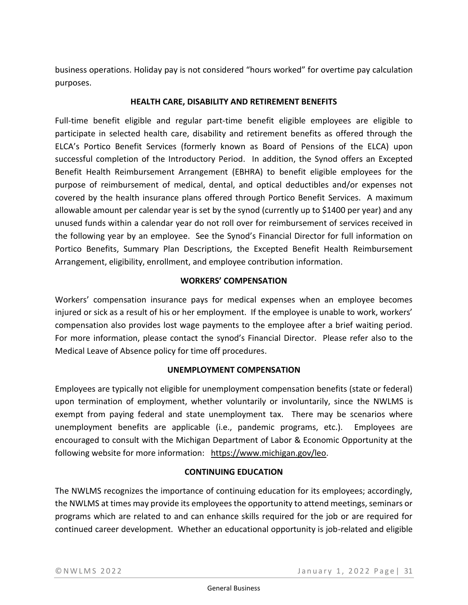business operations. Holiday pay is not considered "hours worked" for overtime pay calculation purposes.

# **HEALTH CARE, DISABILITY AND RETIREMENT BENEFITS**

Full-time benefit eligible and regular part-time benefit eligible employees are eligible to participate in selected health care, disability and retirement benefits as offered through the ELCA's Portico Benefit Services (formerly known as Board of Pensions of the ELCA) upon successful completion of the Introductory Period. In addition, the Synod offers an Excepted Benefit Health Reimbursement Arrangement (EBHRA) to benefit eligible employees for the purpose of reimbursement of medical, dental, and optical deductibles and/or expenses not covered by the health insurance plans offered through Portico Benefit Services. A maximum allowable amount per calendar year is set by the synod (currently up to \$1400 per year) and any unused funds within a calendar year do not roll over for reimbursement of services received in the following year by an employee. See the Synod's Financial Director for full information on Portico Benefits, Summary Plan Descriptions, the Excepted Benefit Health Reimbursement Arrangement, eligibility, enrollment, and employee contribution information.

# **WORKERS' COMPENSATION**

Workers' compensation insurance pays for medical expenses when an employee becomes injured or sick as a result of his or her employment. If the employee is unable to work, workers' compensation also provides lost wage payments to the employee after a brief waiting period. For more information, please contact the synod's Financial Director. Please refer also to the Medical Leave of Absence policy for time off procedures.

# **UNEMPLOYMENT COMPENSATION**

Employees are typically not eligible for unemployment compensation benefits (state or federal) upon termination of employment, whether voluntarily or involuntarily, since the NWLMS is exempt from paying federal and state unemployment tax. There may be scenarios where unemployment benefits are applicable (i.e., pandemic programs, etc.). Employees are encouraged to consult with the Michigan Department of Labor & Economic Opportunity at the following website for more information: [https://www.michigan.gov/leo.](https://www.michigan.gov/leo)

### **CONTINUING EDUCATION**

The NWLMS recognizes the importance of continuing education for its employees; accordingly, the NWLMS at times may provide its employees the opportunity to attend meetings, seminars or programs which are related to and can enhance skills required for the job or are required for continued career development. Whether an educational opportunity is job-related and eligible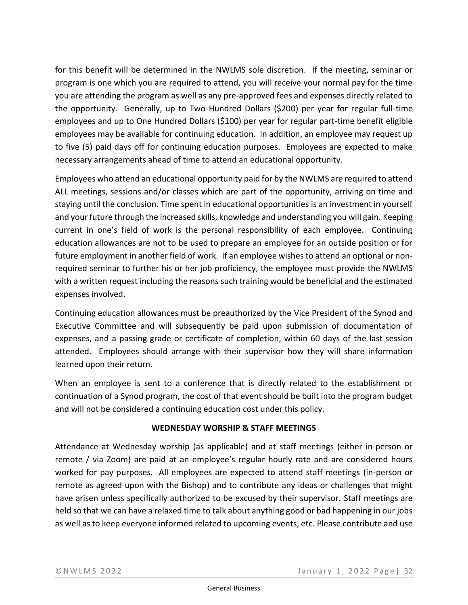for this benefit will be determined in the NWLMS sole discretion. If the meeting, seminar or program is one which you are required to attend, you will receive your normal pay for the time you are attending the program as well as any pre-approved fees and expenses directly related to the opportunity. Generally, up to Two Hundred Dollars (\$200) per year for regular full-time employees and up to One Hundred Dollars (\$100) per year for regular part-time benefit eligible employees may be available for continuing education. In addition, an employee may request up to five (5) paid days off for continuing education purposes. Employees are expected to make necessary arrangements ahead of time to attend an educational opportunity.

Employees who attend an educational opportunity paid for by the NWLMS are required to attend ALL meetings, sessions and/or classes which are part of the opportunity, arriving on time and staying until the conclusion. Time spent in educational opportunities is an investment in yourself and your future through the increased skills, knowledge and understanding you will gain. Keeping current in one's field of work is the personal responsibility of each employee. Continuing education allowances are not to be used to prepare an employee for an outside position or for future employment in another field of work. If an employee wishes to attend an optional or nonrequired seminar to further his or her job proficiency, the employee must provide the NWLMS with a written request including the reasons such training would be beneficial and the estimated expenses involved.

Continuing education allowances must be preauthorized by the Vice President of the Synod and Executive Committee and will subsequently be paid upon submission of documentation of expenses, and a passing grade or certificate of completion, within 60 days of the last session attended. Employees should arrange with their supervisor how they will share information learned upon their return.

When an employee is sent to a conference that is directly related to the establishment or continuation of a Synod program, the cost of that event should be built into the program budget and will not be considered a continuing education cost under this policy.

# **WEDNESDAY WORSHIP & STAFF MEETINGS**

Attendance at Wednesday worship (as applicable) and at staff meetings (either in-person or remote / via Zoom) are paid at an employee's regular hourly rate and are considered hours worked for pay purposes. All employees are expected to attend staff meetings (in-person or remote as agreed upon with the Bishop) and to contribute any ideas or challenges that might have arisen unless specifically authorized to be excused by their supervisor. Staff meetings are held so that we can have a relaxed time to talk about anything good or bad happening in our jobs as well as to keep everyone informed related to upcoming events, etc. Please contribute and use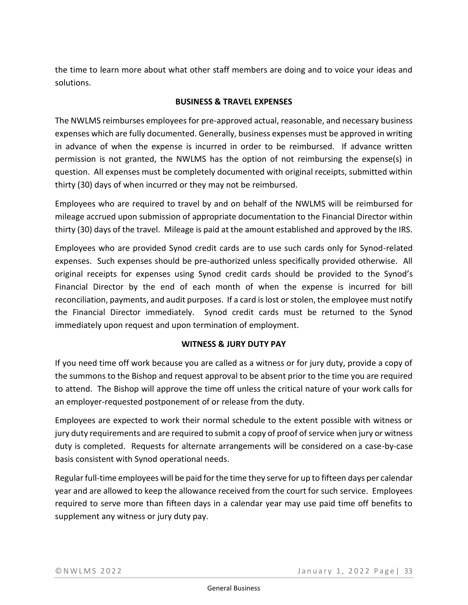the time to learn more about what other staff members are doing and to voice your ideas and solutions.

# **BUSINESS & TRAVEL EXPENSES**

The NWLMS reimburses employees for pre-approved actual, reasonable, and necessary business expenses which are fully documented. Generally, business expenses must be approved in writing in advance of when the expense is incurred in order to be reimbursed. If advance written permission is not granted, the NWLMS has the option of not reimbursing the expense(s) in question. All expenses must be completely documented with original receipts, submitted within thirty (30) days of when incurred or they may not be reimbursed.

Employees who are required to travel by and on behalf of the NWLMS will be reimbursed for mileage accrued upon submission of appropriate documentation to the Financial Director within thirty (30) days of the travel. Mileage is paid at the amount established and approved by the IRS.

Employees who are provided Synod credit cards are to use such cards only for Synod-related expenses. Such expenses should be pre-authorized unless specifically provided otherwise. All original receipts for expenses using Synod credit cards should be provided to the Synod's Financial Director by the end of each month of when the expense is incurred for bill reconciliation, payments, and audit purposes. If a card is lost or stolen, the employee must notify the Financial Director immediately. Synod credit cards must be returned to the Synod immediately upon request and upon termination of employment.

# **WITNESS & JURY DUTY PAY**

If you need time off work because you are called as a witness or for jury duty, provide a copy of the summons to the Bishop and request approval to be absent prior to the time you are required to attend. The Bishop will approve the time off unless the critical nature of your work calls for an employer-requested postponement of or release from the duty.

Employees are expected to work their normal schedule to the extent possible with witness or jury duty requirements and are required to submit a copy of proof of service when jury or witness duty is completed. Requests for alternate arrangements will be considered on a case-by-case basis consistent with Synod operational needs.

Regular full-time employees will be paid for the time they serve for up to fifteen days per calendar year and are allowed to keep the allowance received from the court for such service. Employees required to serve more than fifteen days in a calendar year may use paid time off benefits to supplement any witness or jury duty pay.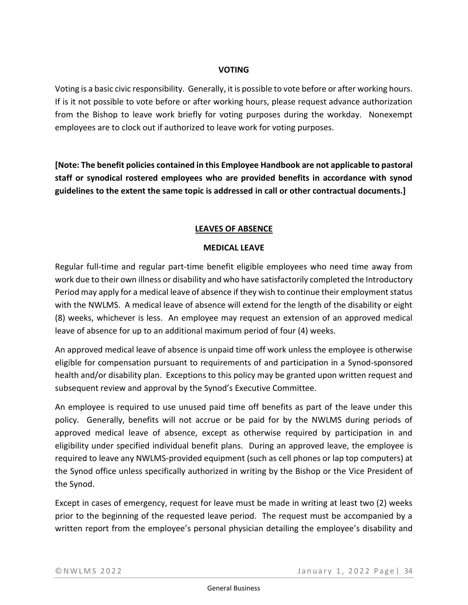# **VOTING**

Voting is a basic civic responsibility. Generally, it is possible to vote before or after working hours. If is it not possible to vote before or after working hours, please request advance authorization from the Bishop to leave work briefly for voting purposes during the workday. Nonexempt employees are to clock out if authorized to leave work for voting purposes.

**[Note: The benefit policies contained in this Employee Handbook are not applicable to pastoral staff or synodical rostered employees who are provided benefits in accordance with synod guidelines to the extent the same topic is addressed in call or other contractual documents.]**

# **LEAVES OF ABSENCE**

# **MEDICAL LEAVE**

Regular full-time and regular part-time benefit eligible employees who need time away from work due to their own illness or disability and who have satisfactorily completed the Introductory Period may apply for a medical leave of absence if they wish to continue their employment status with the NWLMS. A medical leave of absence will extend for the length of the disability or eight (8) weeks, whichever is less. An employee may request an extension of an approved medical leave of absence for up to an additional maximum period of four (4) weeks.

An approved medical leave of absence is unpaid time off work unless the employee is otherwise eligible for compensation pursuant to requirements of and participation in a Synod-sponsored health and/or disability plan. Exceptions to this policy may be granted upon written request and subsequent review and approval by the Synod's Executive Committee.

An employee is required to use unused paid time off benefits as part of the leave under this policy. Generally, benefits will not accrue or be paid for by the NWLMS during periods of approved medical leave of absence, except as otherwise required by participation in and eligibility under specified individual benefit plans. During an approved leave, the employee is required to leave any NWLMS-provided equipment (such as cell phones or lap top computers) at the Synod office unless specifically authorized in writing by the Bishop or the Vice President of the Synod.

Except in cases of emergency, request for leave must be made in writing at least two (2) weeks prior to the beginning of the requested leave period. The request must be accompanied by a written report from the employee's personal physician detailing the employee's disability and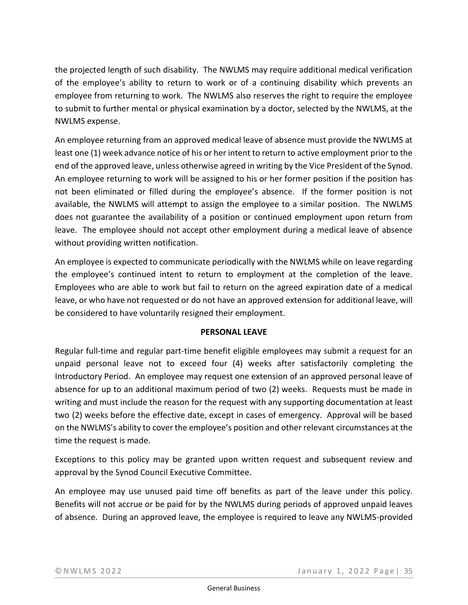the projected length of such disability. The NWLMS may require additional medical verification of the employee's ability to return to work or of a continuing disability which prevents an employee from returning to work. The NWLMS also reserves the right to require the employee to submit to further mental or physical examination by a doctor, selected by the NWLMS, at the NWLMS expense.

An employee returning from an approved medical leave of absence must provide the NWLMS at least one (1) week advance notice of his or her intent to return to active employment prior to the end of the approved leave, unless otherwise agreed in writing by the Vice President of the Synod. An employee returning to work will be assigned to his or her former position if the position has not been eliminated or filled during the employee's absence. If the former position is not available, the NWLMS will attempt to assign the employee to a similar position. The NWLMS does not guarantee the availability of a position or continued employment upon return from leave. The employee should not accept other employment during a medical leave of absence without providing written notification.

An employee is expected to communicate periodically with the NWLMS while on leave regarding the employee's continued intent to return to employment at the completion of the leave. Employees who are able to work but fail to return on the agreed expiration date of a medical leave, or who have not requested or do not have an approved extension for additional leave, will be considered to have voluntarily resigned their employment.

### **PERSONAL LEAVE**

Regular full-time and regular part-time benefit eligible employees may submit a request for an unpaid personal leave not to exceed four (4) weeks after satisfactorily completing the Introductory Period. An employee may request one extension of an approved personal leave of absence for up to an additional maximum period of two (2) weeks. Requests must be made in writing and must include the reason for the request with any supporting documentation at least two (2) weeks before the effective date, except in cases of emergency. Approval will be based on the NWLMS's ability to cover the employee's position and other relevant circumstances at the time the request is made.

Exceptions to this policy may be granted upon written request and subsequent review and approval by the Synod Council Executive Committee.

An employee may use unused paid time off benefits as part of the leave under this policy. Benefits will not accrue or be paid for by the NWLMS during periods of approved unpaid leaves of absence. During an approved leave, the employee is required to leave any NWLMS-provided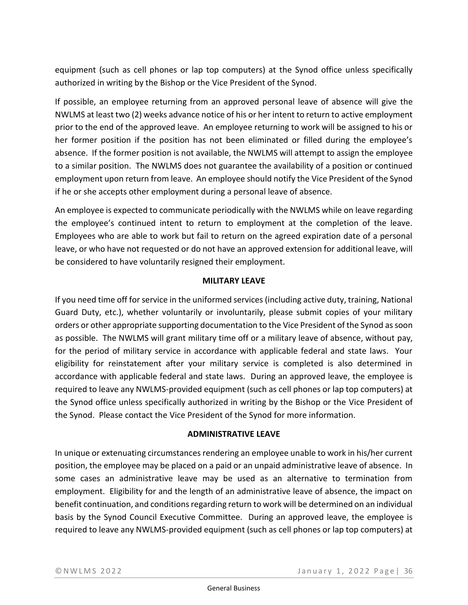equipment (such as cell phones or lap top computers) at the Synod office unless specifically authorized in writing by the Bishop or the Vice President of the Synod.

If possible, an employee returning from an approved personal leave of absence will give the NWLMS at least two (2) weeks advance notice of his or her intent to return to active employment prior to the end of the approved leave. An employee returning to work will be assigned to his or her former position if the position has not been eliminated or filled during the employee's absence. If the former position is not available, the NWLMS will attempt to assign the employee to a similar position. The NWLMS does not guarantee the availability of a position or continued employment upon return from leave. An employee should notify the Vice President of the Synod if he or she accepts other employment during a personal leave of absence.

An employee is expected to communicate periodically with the NWLMS while on leave regarding the employee's continued intent to return to employment at the completion of the leave. Employees who are able to work but fail to return on the agreed expiration date of a personal leave, or who have not requested or do not have an approved extension for additional leave, will be considered to have voluntarily resigned their employment.

### **MILITARY LEAVE**

If you need time off for service in the uniformed services (including active duty, training, National Guard Duty, etc.), whether voluntarily or involuntarily, please submit copies of your military orders or other appropriate supporting documentation to the Vice President of the Synod as soon as possible. The NWLMS will grant military time off or a military leave of absence, without pay, for the period of military service in accordance with applicable federal and state laws. Your eligibility for reinstatement after your military service is completed is also determined in accordance with applicable federal and state laws. During an approved leave, the employee is required to leave any NWLMS-provided equipment (such as cell phones or lap top computers) at the Synod office unless specifically authorized in writing by the Bishop or the Vice President of the Synod. Please contact the Vice President of the Synod for more information.

### **ADMINISTRATIVE LEAVE**

In unique or extenuating circumstances rendering an employee unable to work in his/her current position, the employee may be placed on a paid or an unpaid administrative leave of absence. In some cases an administrative leave may be used as an alternative to termination from employment. Eligibility for and the length of an administrative leave of absence, the impact on benefit continuation, and conditions regarding return to work will be determined on an individual basis by the Synod Council Executive Committee. During an approved leave, the employee is required to leave any NWLMS-provided equipment (such as cell phones or lap top computers) at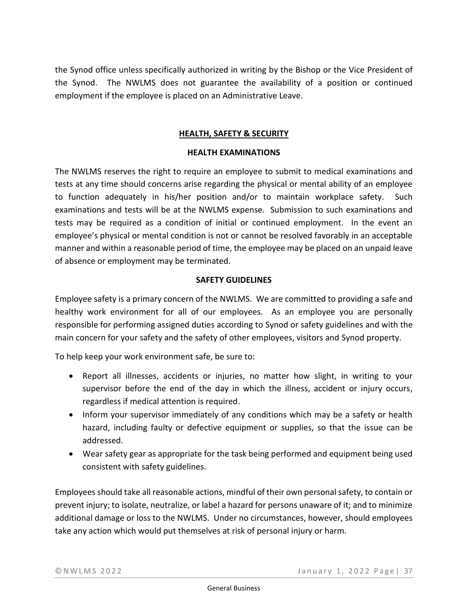the Synod office unless specifically authorized in writing by the Bishop or the Vice President of the Synod. The NWLMS does not guarantee the availability of a position or continued employment if the employee is placed on an Administrative Leave.

# **HEALTH, SAFETY & SECURITY**

#### **HEALTH EXAMINATIONS**

The NWLMS reserves the right to require an employee to submit to medical examinations and tests at any time should concerns arise regarding the physical or mental ability of an employee to function adequately in his/her position and/or to maintain workplace safety. Such examinations and tests will be at the NWLMS expense. Submission to such examinations and tests may be required as a condition of initial or continued employment. In the event an employee's physical or mental condition is not or cannot be resolved favorably in an acceptable manner and within a reasonable period of time, the employee may be placed on an unpaid leave of absence or employment may be terminated.

#### **SAFETY GUIDELINES**

Employee safety is a primary concern of the NWLMS. We are committed to providing a safe and healthy work environment for all of our employees. As an employee you are personally responsible for performing assigned duties according to Synod or safety guidelines and with the main concern for your safety and the safety of other employees, visitors and Synod property.

To help keep your work environment safe, be sure to:

- Report all illnesses, accidents or injuries, no matter how slight, in writing to your supervisor before the end of the day in which the illness, accident or injury occurs, regardless if medical attention is required.
- Inform your supervisor immediately of any conditions which may be a safety or health hazard, including faulty or defective equipment or supplies, so that the issue can be addressed.
- Wear safety gear as appropriate for the task being performed and equipment being used consistent with safety guidelines.

Employees should take all reasonable actions, mindful of their own personal safety, to contain or prevent injury; to isolate, neutralize, or label a hazard for persons unaware of it; and to minimize additional damage or loss to the NWLMS. Under no circumstances, however, should employees take any action which would put themselves at risk of personal injury or harm.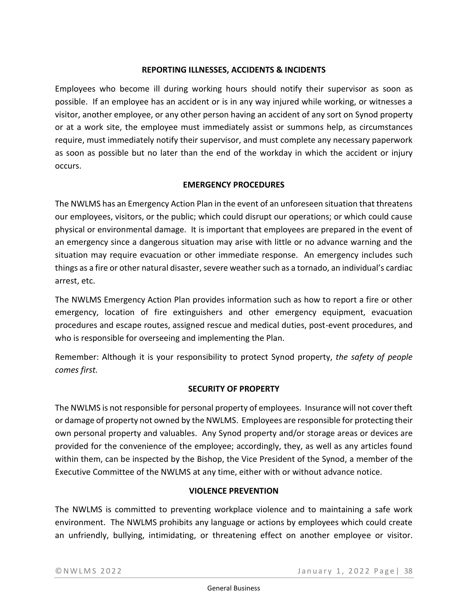# **REPORTING ILLNESSES, ACCIDENTS & INCIDENTS**

Employees who become ill during working hours should notify their supervisor as soon as possible. If an employee has an accident or is in any way injured while working, or witnesses a visitor, another employee, or any other person having an accident of any sort on Synod property or at a work site, the employee must immediately assist or summons help, as circumstances require, must immediately notify their supervisor, and must complete any necessary paperwork as soon as possible but no later than the end of the workday in which the accident or injury occurs.

# **EMERGENCY PROCEDURES**

The NWLMS has an Emergency Action Plan in the event of an unforeseen situation that threatens our employees, visitors, or the public; which could disrupt our operations; or which could cause physical or environmental damage. It is important that employees are prepared in the event of an emergency since a dangerous situation may arise with little or no advance warning and the situation may require evacuation or other immediate response. An emergency includes such things as a fire or other natural disaster, severe weather such as a tornado, an individual's cardiac arrest, etc.

The NWLMS Emergency Action Plan provides information such as how to report a fire or other emergency, location of fire extinguishers and other emergency equipment, evacuation procedures and escape routes, assigned rescue and medical duties, post-event procedures, and who is responsible for overseeing and implementing the Plan.

Remember: Although it is your responsibility to protect Synod property, *the safety of people comes first.*

# **SECURITY OF PROPERTY**

The NWLMS is not responsible for personal property of employees. Insurance will not cover theft or damage of property not owned by the NWLMS. Employees are responsible for protecting their own personal property and valuables. Any Synod property and/or storage areas or devices are provided for the convenience of the employee; accordingly, they, as well as any articles found within them, can be inspected by the Bishop, the Vice President of the Synod, a member of the Executive Committee of the NWLMS at any time, either with or without advance notice.

### **VIOLENCE PREVENTION**

The NWLMS is committed to preventing workplace violence and to maintaining a safe work environment. The NWLMS prohibits any language or actions by employees which could create an unfriendly, bullying, intimidating, or threatening effect on another employee or visitor.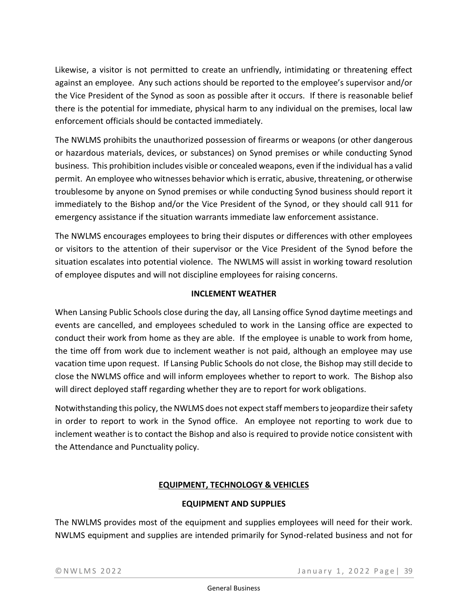Likewise, a visitor is not permitted to create an unfriendly, intimidating or threatening effect against an employee. Any such actions should be reported to the employee's supervisor and/or the Vice President of the Synod as soon as possible after it occurs. If there is reasonable belief there is the potential for immediate, physical harm to any individual on the premises, local law enforcement officials should be contacted immediately.

The NWLMS prohibits the unauthorized possession of firearms or weapons (or other dangerous or hazardous materials, devices, or substances) on Synod premises or while conducting Synod business. This prohibition includes visible or concealed weapons, even if the individual has a valid permit. An employee who witnesses behavior which is erratic, abusive, threatening, or otherwise troublesome by anyone on Synod premises or while conducting Synod business should report it immediately to the Bishop and/or the Vice President of the Synod, or they should call 911 for emergency assistance if the situation warrants immediate law enforcement assistance.

The NWLMS encourages employees to bring their disputes or differences with other employees or visitors to the attention of their supervisor or the Vice President of the Synod before the situation escalates into potential violence. The NWLMS will assist in working toward resolution of employee disputes and will not discipline employees for raising concerns.

# **INCLEMENT WEATHER**

When Lansing Public Schools close during the day, all Lansing office Synod daytime meetings and events are cancelled, and employees scheduled to work in the Lansing office are expected to conduct their work from home as they are able. If the employee is unable to work from home, the time off from work due to inclement weather is not paid, although an employee may use vacation time upon request. If Lansing Public Schools do not close, the Bishop may still decide to close the NWLMS office and will inform employees whether to report to work. The Bishop also will direct deployed staff regarding whether they are to report for work obligations.

Notwithstanding this policy, the NWLMS does not expect staff members to jeopardize their safety in order to report to work in the Synod office. An employee not reporting to work due to inclement weather is to contact the Bishop and also is required to provide notice consistent with the Attendance and Punctuality policy.

# **EQUIPMENT, TECHNOLOGY & VEHICLES**

### **EQUIPMENT AND SUPPLIES**

The NWLMS provides most of the equipment and supplies employees will need for their work. NWLMS equipment and supplies are intended primarily for Synod-related business and not for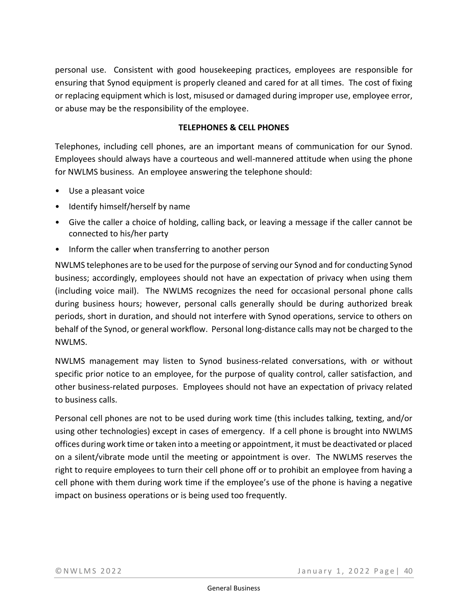personal use. Consistent with good housekeeping practices, employees are responsible for ensuring that Synod equipment is properly cleaned and cared for at all times. The cost of fixing or replacing equipment which is lost, misused or damaged during improper use, employee error, or abuse may be the responsibility of the employee.

### **TELEPHONES & CELL PHONES**

Telephones, including cell phones, are an important means of communication for our Synod. Employees should always have a courteous and well-mannered attitude when using the phone for NWLMS business. An employee answering the telephone should:

- Use a pleasant voice
- Identify himself/herself by name
- Give the caller a choice of holding, calling back, or leaving a message if the caller cannot be connected to his/her party
- Inform the caller when transferring to another person

NWLMS telephones are to be used for the purpose of serving our Synod and for conducting Synod business; accordingly, employees should not have an expectation of privacy when using them (including voice mail). The NWLMS recognizes the need for occasional personal phone calls during business hours; however, personal calls generally should be during authorized break periods, short in duration, and should not interfere with Synod operations, service to others on behalf of the Synod, or general workflow. Personal long-distance calls may not be charged to the NWLMS.

NWLMS management may listen to Synod business-related conversations, with or without specific prior notice to an employee, for the purpose of quality control, caller satisfaction, and other business-related purposes. Employees should not have an expectation of privacy related to business calls.

Personal cell phones are not to be used during work time (this includes talking, texting, and/or using other technologies) except in cases of emergency. If a cell phone is brought into NWLMS offices during work time or taken into a meeting or appointment, it must be deactivated or placed on a silent/vibrate mode until the meeting or appointment is over. The NWLMS reserves the right to require employees to turn their cell phone off or to prohibit an employee from having a cell phone with them during work time if the employee's use of the phone is having a negative impact on business operations or is being used too frequently.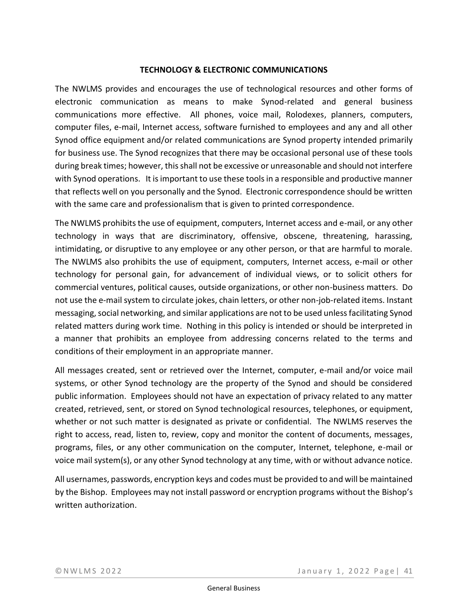#### **TECHNOLOGY & ELECTRONIC COMMUNICATIONS**

The NWLMS provides and encourages the use of technological resources and other forms of electronic communication as means to make Synod-related and general business communications more effective. All phones, voice mail, Rolodexes, planners, computers, computer files, e-mail, Internet access, software furnished to employees and any and all other Synod office equipment and/or related communications are Synod property intended primarily for business use. The Synod recognizes that there may be occasional personal use of these tools during break times; however, this shall not be excessive or unreasonable and should not interfere with Synod operations. It is important to use these tools in a responsible and productive manner that reflects well on you personally and the Synod. Electronic correspondence should be written with the same care and professionalism that is given to printed correspondence.

The NWLMS prohibits the use of equipment, computers, Internet access and e-mail, or any other technology in ways that are discriminatory, offensive, obscene, threatening, harassing, intimidating, or disruptive to any employee or any other person, or that are harmful to morale. The NWLMS also prohibits the use of equipment, computers, Internet access, e-mail or other technology for personal gain, for advancement of individual views, or to solicit others for commercial ventures, political causes, outside organizations, or other non-business matters. Do not use the e-mail system to circulate jokes, chain letters, or other non-job-related items. Instant messaging, social networking, and similar applications are not to be used unless facilitating Synod related matters during work time. Nothing in this policy is intended or should be interpreted in a manner that prohibits an employee from addressing concerns related to the terms and conditions of their employment in an appropriate manner.

All messages created, sent or retrieved over the Internet, computer, e-mail and/or voice mail systems, or other Synod technology are the property of the Synod and should be considered public information. Employees should not have an expectation of privacy related to any matter created, retrieved, sent, or stored on Synod technological resources, telephones, or equipment, whether or not such matter is designated as private or confidential. The NWLMS reserves the right to access, read, listen to, review, copy and monitor the content of documents, messages, programs, files, or any other communication on the computer, Internet, telephone, e-mail or voice mail system(s), or any other Synod technology at any time, with or without advance notice.

All usernames, passwords, encryption keys and codes must be provided to and will be maintained by the Bishop. Employees may not install password or encryption programs without the Bishop's written authorization.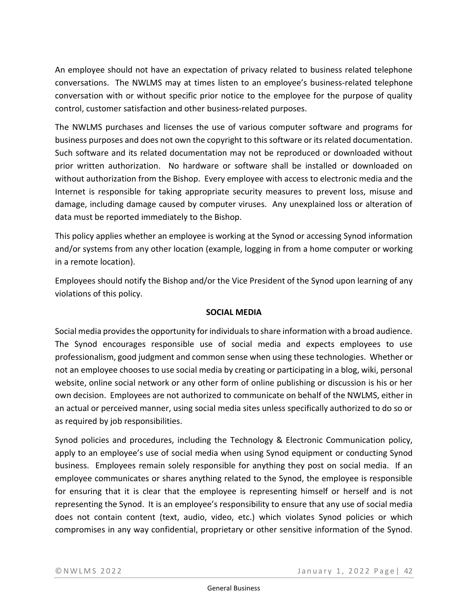An employee should not have an expectation of privacy related to business related telephone conversations. The NWLMS may at times listen to an employee's business-related telephone conversation with or without specific prior notice to the employee for the purpose of quality control, customer satisfaction and other business-related purposes.

The NWLMS purchases and licenses the use of various computer software and programs for business purposes and does not own the copyright to this software or its related documentation. Such software and its related documentation may not be reproduced or downloaded without prior written authorization. No hardware or software shall be installed or downloaded on without authorization from the Bishop. Every employee with access to electronic media and the Internet is responsible for taking appropriate security measures to prevent loss, misuse and damage, including damage caused by computer viruses. Any unexplained loss or alteration of data must be reported immediately to the Bishop.

This policy applies whether an employee is working at the Synod or accessing Synod information and/or systems from any other location (example, logging in from a home computer or working in a remote location).

Employees should notify the Bishop and/or the Vice President of the Synod upon learning of any violations of this policy.

# **SOCIAL MEDIA**

Social media provides the opportunity for individuals to share information with a broad audience. The Synod encourages responsible use of social media and expects employees to use professionalism, good judgment and common sense when using these technologies. Whether or not an employee chooses to use social media by creating or participating in a blog, wiki, personal website, online social network or any other form of online publishing or discussion is his or her own decision. Employees are not authorized to communicate on behalf of the NWLMS, either in an actual or perceived manner, using social media sites unless specifically authorized to do so or as required by job responsibilities.

Synod policies and procedures, including the Technology & Electronic Communication policy, apply to an employee's use of social media when using Synod equipment or conducting Synod business. Employees remain solely responsible for anything they post on social media. If an employee communicates or shares anything related to the Synod, the employee is responsible for ensuring that it is clear that the employee is representing himself or herself and is not representing the Synod. It is an employee's responsibility to ensure that any use of social media does not contain content (text, audio, video, etc.) which violates Synod policies or which compromises in any way confidential, proprietary or other sensitive information of the Synod.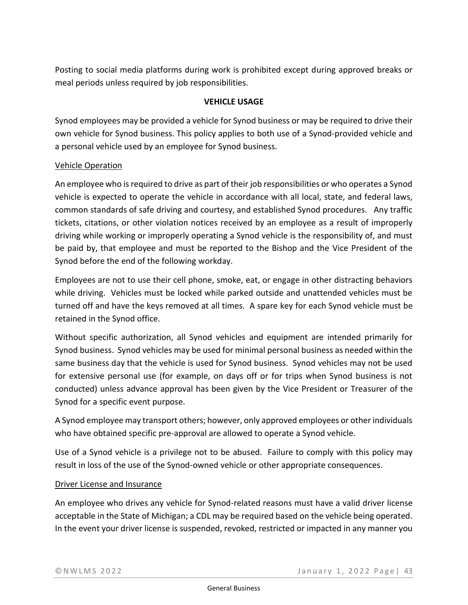Posting to social media platforms during work is prohibited except during approved breaks or meal periods unless required by job responsibilities.

### **VEHICLE USAGE**

Synod employees may be provided a vehicle for Synod business or may be required to drive their own vehicle for Synod business. This policy applies to both use of a Synod-provided vehicle and a personal vehicle used by an employee for Synod business.

# Vehicle Operation

An employee who is required to drive as part of their job responsibilities or who operates a Synod vehicle is expected to operate the vehicle in accordance with all local, state, and federal laws, common standards of safe driving and courtesy, and established Synod procedures. Any traffic tickets, citations, or other violation notices received by an employee as a result of improperly driving while working or improperly operating a Synod vehicle is the responsibility of, and must be paid by, that employee and must be reported to the Bishop and the Vice President of the Synod before the end of the following workday.

Employees are not to use their cell phone, smoke, eat, or engage in other distracting behaviors while driving. Vehicles must be locked while parked outside and unattended vehicles must be turned off and have the keys removed at all times. A spare key for each Synod vehicle must be retained in the Synod office.

Without specific authorization, all Synod vehicles and equipment are intended primarily for Synod business. Synod vehicles may be used for minimal personal business as needed within the same business day that the vehicle is used for Synod business. Synod vehicles may not be used for extensive personal use (for example, on days off or for trips when Synod business is not conducted) unless advance approval has been given by the Vice President or Treasurer of the Synod for a specific event purpose.

A Synod employee may transport others; however, only approved employees or other individuals who have obtained specific pre-approval are allowed to operate a Synod vehicle.

Use of a Synod vehicle is a privilege not to be abused. Failure to comply with this policy may result in loss of the use of the Synod-owned vehicle or other appropriate consequences.

### Driver License and Insurance

An employee who drives any vehicle for Synod-related reasons must have a valid driver license acceptable in the State of Michigan; a CDL may be required based on the vehicle being operated. In the event your driver license is suspended, revoked, restricted or impacted in any manner you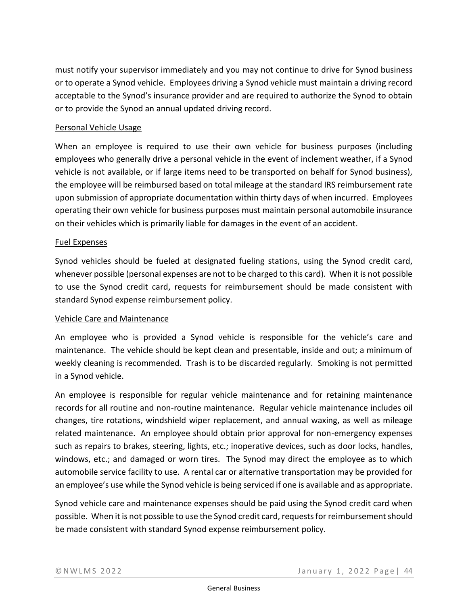must notify your supervisor immediately and you may not continue to drive for Synod business or to operate a Synod vehicle. Employees driving a Synod vehicle must maintain a driving record acceptable to the Synod's insurance provider and are required to authorize the Synod to obtain or to provide the Synod an annual updated driving record.

### Personal Vehicle Usage

When an employee is required to use their own vehicle for business purposes (including employees who generally drive a personal vehicle in the event of inclement weather, if a Synod vehicle is not available, or if large items need to be transported on behalf for Synod business), the employee will be reimbursed based on total mileage at the standard IRS reimbursement rate upon submission of appropriate documentation within thirty days of when incurred. Employees operating their own vehicle for business purposes must maintain personal automobile insurance on their vehicles which is primarily liable for damages in the event of an accident.

#### Fuel Expenses

Synod vehicles should be fueled at designated fueling stations, using the Synod credit card, whenever possible (personal expenses are not to be charged to this card). When it is not possible to use the Synod credit card, requests for reimbursement should be made consistent with standard Synod expense reimbursement policy.

#### Vehicle Care and Maintenance

An employee who is provided a Synod vehicle is responsible for the vehicle's care and maintenance. The vehicle should be kept clean and presentable, inside and out; a minimum of weekly cleaning is recommended. Trash is to be discarded regularly. Smoking is not permitted in a Synod vehicle.

An employee is responsible for regular vehicle maintenance and for retaining maintenance records for all routine and non-routine maintenance. Regular vehicle maintenance includes oil changes, tire rotations, windshield wiper replacement, and annual waxing, as well as mileage related maintenance. An employee should obtain prior approval for non-emergency expenses such as repairs to brakes, steering, lights, etc.; inoperative devices, such as door locks, handles, windows, etc.; and damaged or worn tires. The Synod may direct the employee as to which automobile service facility to use. A rental car or alternative transportation may be provided for an employee's use while the Synod vehicle is being serviced if one is available and as appropriate.

Synod vehicle care and maintenance expenses should be paid using the Synod credit card when possible. When it is not possible to use the Synod credit card, requests for reimbursement should be made consistent with standard Synod expense reimbursement policy.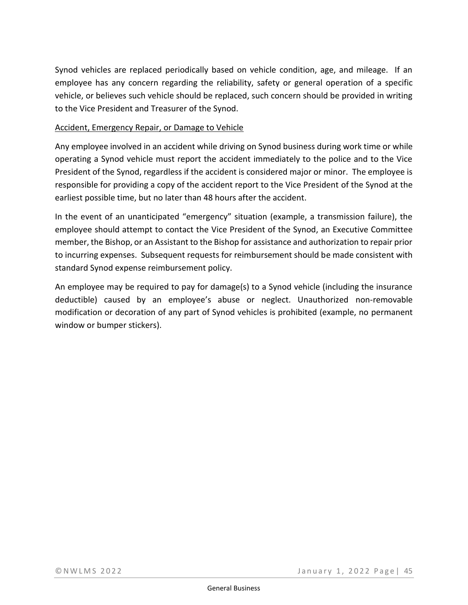Synod vehicles are replaced periodically based on vehicle condition, age, and mileage. If an employee has any concern regarding the reliability, safety or general operation of a specific vehicle, or believes such vehicle should be replaced, such concern should be provided in writing to the Vice President and Treasurer of the Synod.

### Accident, Emergency Repair, or Damage to Vehicle

Any employee involved in an accident while driving on Synod business during work time or while operating a Synod vehicle must report the accident immediately to the police and to the Vice President of the Synod, regardless if the accident is considered major or minor. The employee is responsible for providing a copy of the accident report to the Vice President of the Synod at the earliest possible time, but no later than 48 hours after the accident.

In the event of an unanticipated "emergency" situation (example, a transmission failure), the employee should attempt to contact the Vice President of the Synod, an Executive Committee member, the Bishop, or an Assistant to the Bishop for assistance and authorization to repair prior to incurring expenses. Subsequent requests for reimbursement should be made consistent with standard Synod expense reimbursement policy.

An employee may be required to pay for damage(s) to a Synod vehicle (including the insurance deductible) caused by an employee's abuse or neglect. Unauthorized non-removable modification or decoration of any part of Synod vehicles is prohibited (example, no permanent window or bumper stickers).